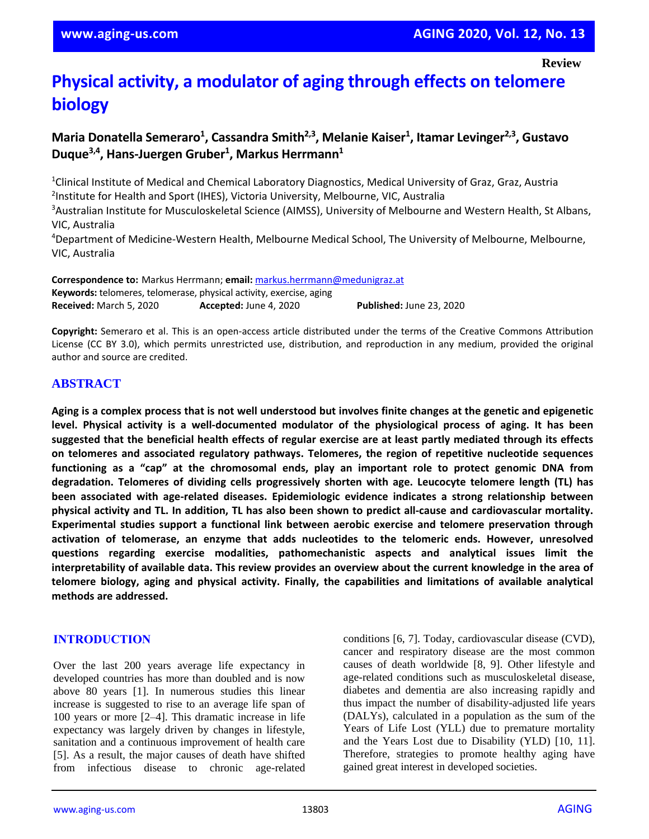# **Physical activity, a modulator of aging through effects on telomere biology**

# **Maria Donatella Semeraro<sup>1</sup> , Cassandra Smith2,3 , Melanie Kaiser<sup>1</sup> , Itamar Levinger2,3, Gustavo Duque3,4 , Hans-Juergen Gruber<sup>1</sup> , Markus Herrmann<sup>1</sup>**

<sup>1</sup>Clinical Institute of Medical and Chemical Laboratory Diagnostics, Medical University of Graz, Graz, Austria <sup>2</sup>Institute for Health and Sport (IHES), Victoria University, Melbourne, VIC, Australia

<sup>3</sup>Australian Institute for Musculoskeletal Science (AIMSS), University of Melbourne and Western Health, St Albans, VIC, Australia

<sup>4</sup>Department of Medicine-Western Health, Melbourne Medical School, The University of Melbourne, Melbourne, VIC, Australia

**Correspondence to:** Markus Herrmann; **email:** [markus.herrmann@medunigraz.at](mailto:markus.herrmann@medunigraz.at) **Keywords:** telomeres, telomerase, physical activity, exercise, aging **Received:** March 5, 2020 **Accepted:** June 4, 2020 **Published:** June 23, 2020

**Copyright:** Semeraro et al. This is an open-access article distributed under the terms of the Creative Commons Attribution License (CC BY 3.0), which permits unrestricted use, distribution, and reproduction in any medium, provided the original author and source are credited.

# **ABSTRACT**

Aging is a complex process that is not well understood but involves finite changes at the genetic and epigenetic **level. Physical activity is a well-documented modulator of the physiological process of aging. It has been** suggested that the beneficial health effects of regular exercise are at least partly mediated through its effects **on telomeres and associated regulatory pathways. Telomeres, the region of repetitive nucleotide sequences functioning as a "cap" at the chromosomal ends, play an important role to protect genomic DNA from degradation. Telomeres of dividing cells progressively shorten with age. Leucocyte telomere length (TL) has been associated with age-related diseases. Epidemiologic evidence indicates a strong relationship between** physical activity and TL. In addition, TL has also been shown to predict all-cause and cardiovascular mortality. **Experimental studies support a functional link between aerobic exercise and telomere preservation through activation of telomerase, an enzyme that adds nucleotides to the telomeric ends. However, unresolved questions regarding exercise modalities, pathomechanistic aspects and analytical issues limit the** interpretability of available data. This review provides an overview about the current knowledge in the area of **telomere biology, aging and physical activity. Finally, the capabilities and limitations of available analytical methods are addressed.**

#### **INTRODUCTION**

Over the last 200 years average life expectancy in developed countries has more than doubled and is now above 80 years [1]. In numerous studies this linear increase is suggested to rise to an average life span of 100 years or more [2–4]. This dramatic increase in life expectancy was largely driven by changes in lifestyle, sanitation and a continuous improvement of health care [5]. As a result, the major causes of death have shifted from infectious disease to chronic age-related conditions [6, 7]. Today, cardiovascular disease (CVD), cancer and respiratory disease are the most common causes of death worldwide [8, 9]. Other lifestyle and age-related conditions such as musculoskeletal disease, diabetes and dementia are also increasing rapidly and thus impact the number of disability-adjusted life years (DALYs), calculated in a population as the sum of the Years of Life Lost (YLL) due to premature mortality and the Years Lost due to Disability (YLD) [10, 11]. Therefore, strategies to promote healthy aging have gained great interest in developed societies.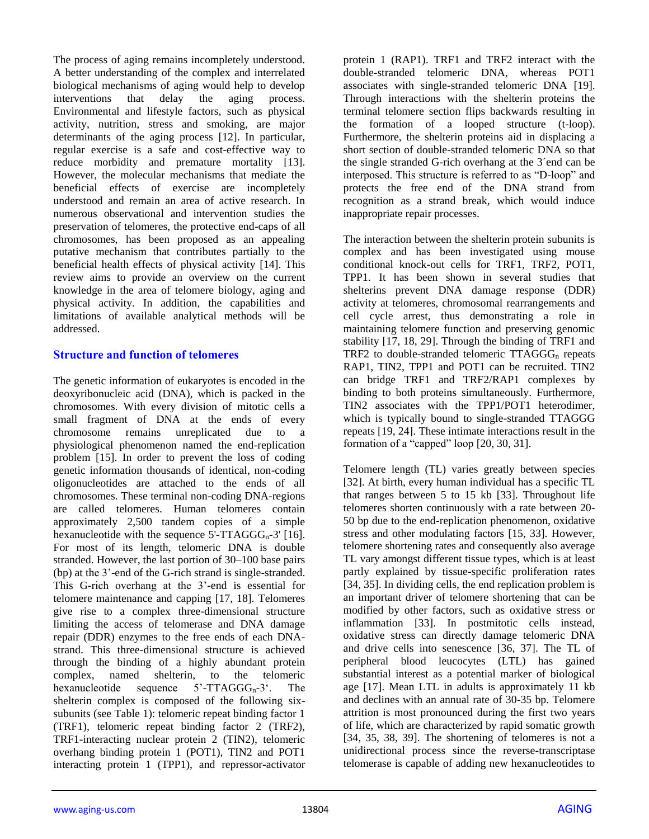The process of aging remains incompletely understood. A better understanding of the complex and interrelated biological mechanisms of aging would help to develop interventions that delay the aging process. Environmental and lifestyle factors, such as physical activity, nutrition, stress and smoking, are major determinants of the aging process [12]. In particular, regular exercise is a safe and cost-effective way to reduce morbidity and premature mortality [13]. However, the molecular mechanisms that mediate the beneficial effects of exercise are incompletely understood and remain an area of active research. In numerous observational and intervention studies the preservation of telomeres, the protective end-caps of all chromosomes, has been proposed as an appealing putative mechanism that contributes partially to the beneficial health effects of physical activity [14]. This review aims to provide an overview on the current knowledge in the area of telomere biology, aging and physical activity. In addition, the capabilities and limitations of available analytical methods will be addressed.

#### **Structure and function of telomeres**

The genetic information of eukaryotes is encoded in the deoxyribonucleic acid (DNA), which is packed in the chromosomes. With every division of mitotic cells a small fragment of DNA at the ends of every chromosome remains unreplicated due to a physiological phenomenon named the end-replication problem [15]. In order to prevent the loss of coding genetic information thousands of identical, non-coding oligonucleotides are attached to the ends of all chromosomes. These terminal non-coding DNA-regions are called telomeres. Human telomeres contain approximately 2,500 tandem copies of a simple hexanucleotide with the sequence  $5'$ -TTAGGG<sub>n</sub>-3' [16]. For most of its length, telomeric DNA is double stranded. However, the last portion of 30–100 base pairs (bp) at the 3'-end of the G-rich strand is single-stranded. This G-rich overhang at the 3'-end is essential for telomere maintenance and capping [17, 18]. Telomeres give rise to a complex three-dimensional structure limiting the access of telomerase and DNA damage repair (DDR) enzymes to the free ends of each DNAstrand. This three-dimensional structure is achieved through the binding of a highly abundant protein complex, named shelterin, to the telomeric hexanucleotide sequence  $5'$ -TTAGGG<sub>n</sub>-3<sup> $\cdot$ </sup>. The shelterin complex is composed of the following sixsubunits (see Table 1): telomeric repeat binding factor 1 (TRF1), telomeric repeat binding factor 2 (TRF2), TRF1-interacting nuclear protein 2 (TIN2), telomeric overhang binding protein 1 (POT1), TIN2 and POT1 interacting protein 1 (TPP1), and repressor-activator protein 1 (RAP1). TRF1 and TRF2 interact with the double-stranded telomeric DNA, whereas POT1 associates with single-stranded telomeric DNA [19]. Through interactions with the shelterin proteins the terminal telomere section flips backwards resulting in the formation of a looped structure (t-loop). Furthermore, the shelterin proteins aid in displacing a short section of double-stranded telomeric DNA so that the single stranded G-rich overhang at the 3´end can be interposed. This structure is referred to as "D-loop" and protects the free end of the DNA strand from recognition as a strand break, which would induce inappropriate repair processes.

The interaction between the shelterin protein subunits is complex and has been investigated using mouse conditional knock-out cells for TRF1, TRF2, POT1, TPP1. It has been shown in several studies that shelterins prevent DNA damage response (DDR) activity at telomeres, chromosomal rearrangements and cell cycle arrest, thus demonstrating a role in maintaining telomere function and preserving genomic stability [17, 18, 29]. Through the binding of TRF1 and TRF2 to double-stranded telomeric  $TTAGGG<sub>n</sub>$  repeats RAP1, TIN2, TPP1 and POT1 can be recruited. TIN2 can bridge TRF1 and TRF2/RAP1 complexes by binding to both proteins simultaneously. Furthermore, TIN2 associates with the TPP1/POT1 heterodimer, which is typically bound to single-stranded TTAGGG repeats [19, 24]. These intimate interactions result in the formation of a "capped" loop [20, 30, 31].

Telomere length (TL) varies greatly between species [32]. At birth, every human individual has a specific TL that ranges between 5 to 15 kb [33]. Throughout life telomeres shorten continuously with a rate between 20- 50 bp due to the end-replication phenomenon, oxidative stress and other modulating factors [15, 33]. However, telomere shortening rates and consequently also average TL vary amongst different tissue types, which is at least partly explained by tissue-specific proliferation rates [34, 35]. In dividing cells, the end replication problem is an important driver of telomere shortening that can be modified by other factors, such as oxidative stress or inflammation [33]. In postmitotic cells instead, oxidative stress can directly damage telomeric DNA and drive cells into senescence [36, 37]. The TL of peripheral blood leucocytes (LTL) has gained substantial interest as a potential marker of biological age [17]. Mean LTL in adults is approximately 11 kb and declines with an annual rate of 30-35 bp. Telomere attrition is most pronounced during the first two years of life, which are characterized by rapid somatic growth [34, 35, 38, 39]. The shortening of telomeres is not a unidirectional process since the reverse-transcriptase telomerase is capable of adding new hexanucleotides to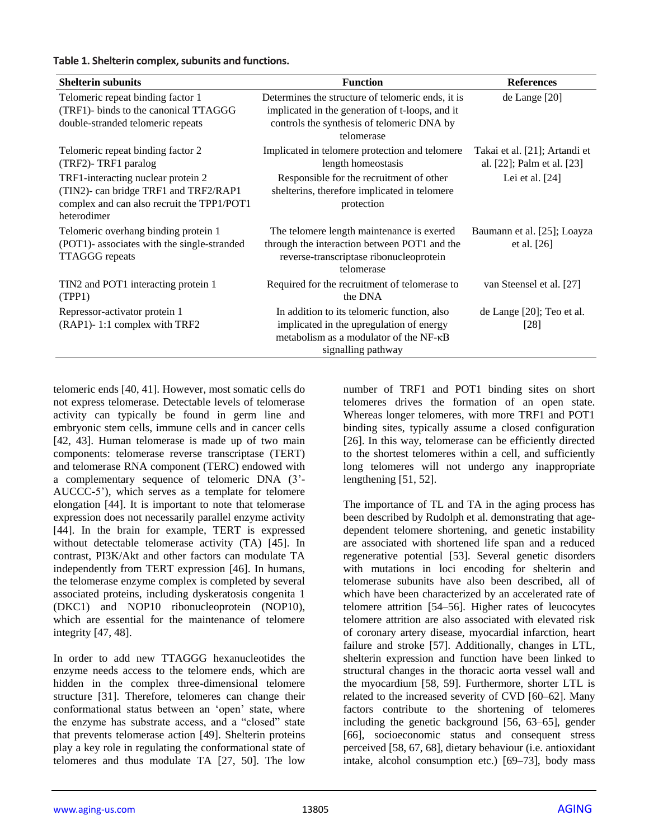#### **Table 1. Shelterin complex, subunits and functions.**

| <b>Shelterin subunits</b>                                                                                                                | <b>Function</b>                                                                                                                                                  | <b>References</b>                                           |
|------------------------------------------------------------------------------------------------------------------------------------------|------------------------------------------------------------------------------------------------------------------------------------------------------------------|-------------------------------------------------------------|
| Telomeric repeat binding factor 1<br>(TRF1)- binds to the canonical TTAGGG<br>double-stranded telomeric repeats                          | Determines the structure of telomeric ends, it is<br>implicated in the generation of t-loops, and it<br>controls the synthesis of telomeric DNA by<br>telomerase | de Lange $[20]$                                             |
| Telomeric repeat binding factor 2<br>(TRF2)-TRF1 paralog                                                                                 | Implicated in telomere protection and telomere<br>length homeostasis                                                                                             | Takai et al. [21]; Artandi et<br>al. [22]; Palm et al. [23] |
| TRF1-interacting nuclear protein 2<br>(TIN2)- can bridge TRF1 and TRF2/RAP1<br>complex and can also recruit the TPP1/POT1<br>heterodimer | Responsible for the recruitment of other<br>shelterins, therefore implicated in telomere<br>protection                                                           | Lei et al. $[24]$                                           |
| Telomeric overhang binding protein 1<br>(POT1)- associates with the single-stranded<br><b>TTAGGG</b> repeats                             | The telomere length maintenance is exerted<br>through the interaction between POT1 and the<br>reverse-transcriptase ribonucleoprotein<br>telomerase              | Baumann et al. [25]; Loayza<br>et al. $[26]$                |
| TIN2 and POT1 interacting protein 1<br>(TPP1)                                                                                            | Required for the recruitment of telomerase to<br>the DNA                                                                                                         | van Steensel et al. [27]                                    |
| Repressor-activator protein 1<br>(RAP1)-1:1 complex with TRF2                                                                            | In addition to its telomeric function, also<br>implicated in the upregulation of energy<br>metabolism as a modulator of the NF-KB<br>signalling pathway          | de Lange [20]; Teo et al.<br>[28]                           |

telomeric ends [40, 41]. However, most somatic cells do not express telomerase. Detectable levels of telomerase activity can typically be found in germ line and embryonic stem cells, immune cells and in cancer cells [42, 43]. Human telomerase is made up of two main components: telomerase reverse transcriptase (TERT) and telomerase RNA component (TERC) endowed with a complementary sequence of telomeric DNA (3'- AUCCC-5'), which serves as a template for telomere elongation [44]. It is important to note that telomerase expression does not necessarily parallel enzyme activity [44]. In the brain for example, TERT is expressed without detectable telomerase activity (TA) [45]. In contrast, PI3K/Akt and other factors can modulate TA independently from TERT expression [46]. In humans, the telomerase enzyme complex is completed by several associated proteins, including dyskeratosis congenita 1 (DKC1) and NOP10 ribonucleoprotein (NOP10), which are essential for the maintenance of telomere integrity [47, 48].

In order to add new TTAGGG hexanucleotides the enzyme needs access to the telomere ends, which are hidden in the complex three-dimensional telomere structure [31]. Therefore, telomeres can change their conformational status between an 'open' state, where the enzyme has substrate access, and a "closed" state that prevents telomerase action [49]. Shelterin proteins play a key role in regulating the conformational state of telomeres and thus modulate TA [27, 50]. The low number of TRF1 and POT1 binding sites on short telomeres drives the formation of an open state. Whereas longer telomeres, with more TRF1 and POT1 binding sites, typically assume a closed configuration [26]. In this way, telomerase can be efficiently directed to the shortest telomeres within a cell, and sufficiently long telomeres will not undergo any inappropriate lengthening [51, 52].

The importance of TL and TA in the aging process has been described by Rudolph et al. demonstrating that agedependent telomere shortening, and genetic instability are associated with shortened life span and a reduced regenerative potential [53]. Several genetic disorders with mutations in loci encoding for shelterin and telomerase subunits have also been described, all of which have been characterized by an accelerated rate of telomere attrition [54–56]. Higher rates of leucocytes telomere attrition are also associated with elevated risk of coronary artery disease, myocardial infarction, heart failure and stroke [57]. Additionally, changes in LTL, shelterin expression and function have been linked to structural changes in the thoracic aorta vessel wall and the myocardium [58, 59]. Furthermore, shorter LTL is related to the increased severity of CVD [60–62]. Many factors contribute to the shortening of telomeres including the genetic background [56, 63–65], gender [66], socioeconomic status and consequent stress perceived [58, 67, 68], dietary behaviour (i.e. antioxidant intake, alcohol consumption etc.) [69–73], body mass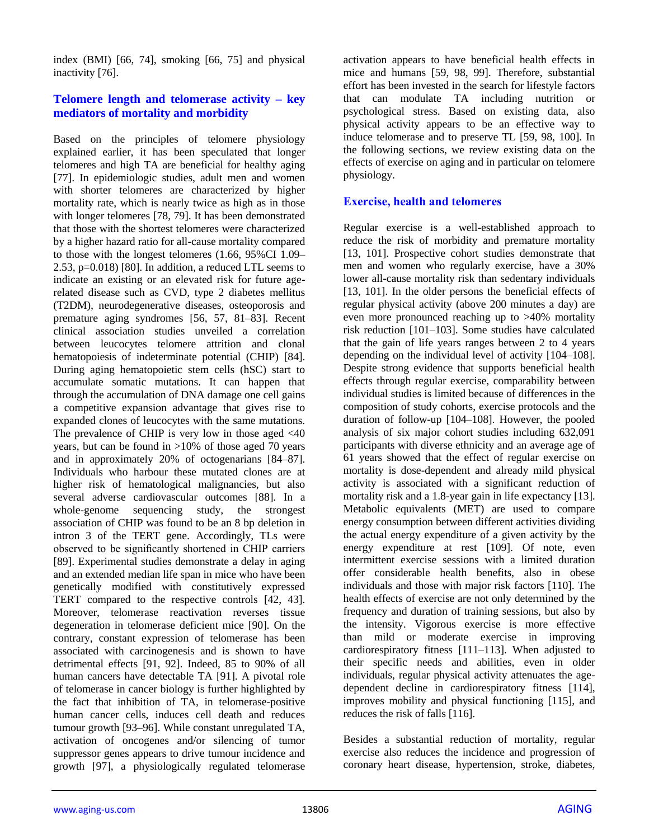index (BMI) [66, 74], smoking [66, 75] and physical inactivity [76].

#### **Telomere length and telomerase activity – key mediators of mortality and morbidity**

Based on the principles of telomere physiology explained earlier, it has been speculated that longer telomeres and high TA are beneficial for healthy aging [77]. In epidemiologic studies, adult men and women with shorter telomeres are characterized by higher mortality rate, which is nearly twice as high as in those with longer telomeres [78, 79]. It has been demonstrated that those with the shortest telomeres were characterized by a higher hazard ratio for all-cause mortality compared to those with the longest telomeres (1.66, 95%CI 1.09– 2.53, p=0.018) [80]. In addition, a reduced LTL seems to indicate an existing or an elevated risk for future agerelated disease such as CVD, type 2 diabetes mellitus (T2DM), neurodegenerative diseases, osteoporosis and premature aging syndromes [56, 57, 81–83]. Recent clinical association studies unveiled a correlation between leucocytes telomere attrition and clonal hematopoiesis of indeterminate potential (CHIP) [84]. During aging hematopoietic stem cells (hSC) start to accumulate somatic mutations. It can happen that through the accumulation of DNA damage one cell gains a competitive expansion advantage that gives rise to expanded clones of leucocytes with the same mutations. The prevalence of CHIP is very low in those aged  $\langle 40 \rangle$ years, but can be found in >10% of those aged 70 years and in approximately 20% of octogenarians [84–87]. Individuals who harbour these mutated clones are at higher risk of hematological malignancies, but also several adverse cardiovascular outcomes [88]. In a whole-genome sequencing study, the strongest association of CHIP was found to be an 8 bp deletion in intron 3 of the TERT gene. Accordingly, TLs were observed to be significantly shortened in CHIP carriers [89]. Experimental studies demonstrate a delay in aging and an extended median life span in mice who have been genetically modified with constitutively expressed TERT compared to the respective controls [42, 43]. Moreover, telomerase reactivation reverses tissue degeneration in telomerase deficient mice [90]. On the contrary, constant expression of telomerase has been associated with carcinogenesis and is shown to have detrimental effects [91, 92]. Indeed, 85 to 90% of all human cancers have detectable TA [91]. A pivotal role of telomerase in cancer biology is further highlighted by the fact that inhibition of TA, in telomerase-positive human cancer cells, induces cell death and reduces tumour growth [93–96]. While constant unregulated TA, activation of oncogenes and/or silencing of tumor suppressor genes appears to drive tumour incidence and growth [97], a physiologically regulated telomerase

activation appears to have beneficial health effects in mice and humans [59, 98, 99]. Therefore, substantial effort has been invested in the search for lifestyle factors that can modulate TA including nutrition or psychological stress. Based on existing data, also physical activity appears to be an effective way to induce telomerase and to preserve TL [59, 98, 100]. In the following sections, we review existing data on the effects of exercise on aging and in particular on telomere physiology.

#### **Exercise, health and telomeres**

Regular exercise is a well-established approach to reduce the risk of morbidity and premature mortality [13, 101]. Prospective cohort studies demonstrate that men and women who regularly exercise, have a 30% lower all-cause mortality risk than sedentary individuals [13, 101]. In the older persons the beneficial effects of regular physical activity (above 200 minutes a day) are even more pronounced reaching up to >40% mortality risk reduction [101–103]. Some studies have calculated that the gain of life years ranges between 2 to 4 years depending on the individual level of activity [104–108]. Despite strong evidence that supports beneficial health effects through regular exercise, comparability between individual studies is limited because of differences in the composition of study cohorts, exercise protocols and the duration of follow-up [104–108]. However, the pooled analysis of six major cohort studies including 632,091 participants with diverse ethnicity and an average age of 61 years showed that the effect of regular exercise on mortality is dose-dependent and already mild physical activity is associated with a significant reduction of mortality risk and a 1.8-year gain in life expectancy [13]. Metabolic equivalents (MET) are used to compare energy consumption between different activities dividing the actual energy expenditure of a given activity by the energy expenditure at rest [109]. Of note, even intermittent exercise sessions with a limited duration offer considerable health benefits, also in obese individuals and those with major risk factors [110]. The health effects of exercise are not only determined by the frequency and duration of training sessions, but also by the intensity. Vigorous exercise is more effective than mild or moderate exercise in improving cardiorespiratory fitness [111–113]. When adjusted to their specific needs and abilities, even in older individuals, regular physical activity attenuates the agedependent decline in cardiorespiratory fitness [114], improves mobility and physical functioning [115], and reduces the risk of falls [116].

Besides a substantial reduction of mortality, regular exercise also reduces the incidence and progression of coronary heart disease, hypertension, stroke, diabetes,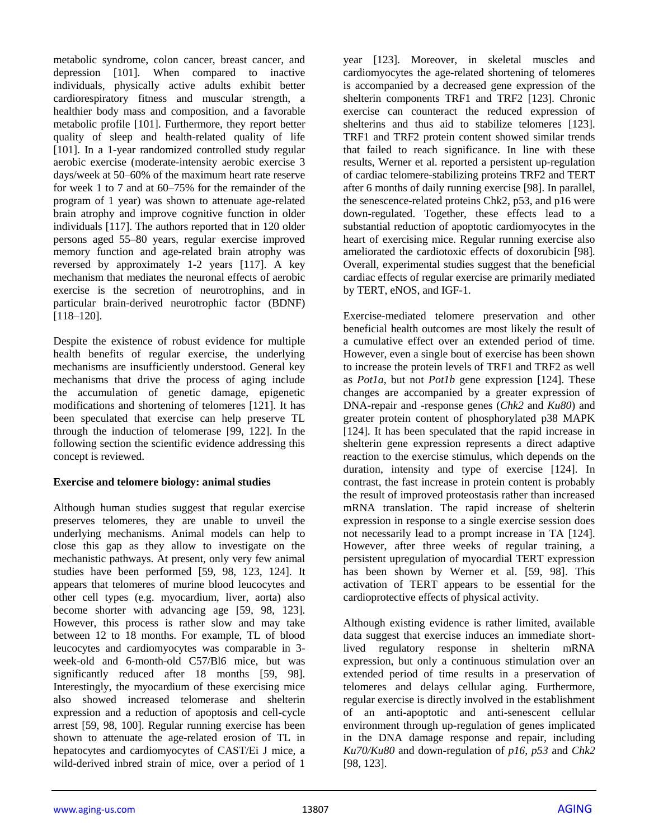metabolic syndrome, colon cancer, breast cancer, and depression [101]. When compared to inactive individuals, physically active adults exhibit better cardiorespiratory fitness and muscular strength, a healthier body mass and composition, and a favorable metabolic profile [101]. Furthermore, they report better quality of sleep and health-related quality of life [101]. In a 1-year randomized controlled study regular aerobic exercise (moderate-intensity aerobic exercise 3 days/week at 50–60% of the maximum heart rate reserve for week 1 to 7 and at 60–75% for the remainder of the program of 1 year) was shown to attenuate age-related brain atrophy and improve cognitive function in older individuals [117]. The authors reported that in 120 older persons aged 55–80 years, regular exercise improved memory function and age-related brain atrophy was reversed by approximately 1-2 years [117]. A key mechanism that mediates the neuronal effects of aerobic exercise is the secretion of neurotrophins, and in particular brain-derived neurotrophic factor (BDNF) [118–120].

Despite the existence of robust evidence for multiple health benefits of regular exercise, the underlying mechanisms are insufficiently understood. General key mechanisms that drive the process of aging include the accumulation of genetic damage, epigenetic modifications and shortening of telomeres [121]. It has been speculated that exercise can help preserve TL through the induction of telomerase [99, 122]. In the following section the scientific evidence addressing this concept is reviewed.

#### **Exercise and telomere biology: animal studies**

Although human studies suggest that regular exercise preserves telomeres, they are unable to unveil the underlying mechanisms. Animal models can help to close this gap as they allow to investigate on the mechanistic pathways. At present, only very few animal studies have been performed [59, 98, 123, 124]. It appears that telomeres of murine blood leucocytes and other cell types (e.g. myocardium, liver, aorta) also become shorter with advancing age [59, 98, 123]. However, this process is rather slow and may take between 12 to 18 months. For example, TL of blood leucocytes and cardiomyocytes was comparable in 3 week-old and 6-month-old C57/Bl6 mice, but was significantly reduced after 18 months [59, 98]. Interestingly, the myocardium of these exercising mice also showed increased telomerase and shelterin expression and a reduction of apoptosis and cell-cycle arrest [59, 98, 100]. Regular running exercise has been shown to attenuate the age-related erosion of TL in hepatocytes and cardiomyocytes of CAST/Ei J mice, a wild-derived inbred strain of mice, over a period of 1

year [123]. Moreover, in skeletal muscles and cardiomyocytes the age-related shortening of telomeres is accompanied by a decreased gene expression of the shelterin components TRF1 and TRF2 [123]. Chronic exercise can counteract the reduced expression of shelterins and thus aid to stabilize telomeres [123]. TRF1 and TRF2 protein content showed similar trends that failed to reach significance. In line with these results, Werner et al. reported a persistent up-regulation of cardiac telomere-stabilizing proteins TRF2 and TERT after 6 months of daily running exercise [98]. In parallel, the senescence-related proteins Chk2, p53, and p16 were down-regulated. Together, these effects lead to a substantial reduction of apoptotic cardiomyocytes in the heart of exercising mice. Regular running exercise also ameliorated the cardiotoxic effects of doxorubicin [98]. Overall, experimental studies suggest that the beneficial cardiac effects of regular exercise are primarily mediated by TERT, eNOS, and IGF-1.

Exercise-mediated telomere preservation and other beneficial health outcomes are most likely the result of a cumulative effect over an extended period of time. However, even a single bout of exercise has been shown to increase the protein levels of TRF1 and TRF2 as well as *Pot1a*, but not *Pot1b* gene expression [124]. These changes are accompanied by a greater expression of DNA-repair and -response genes (*Chk2* and *Ku80*) and greater protein content of phosphorylated p38 MAPK [124]. It has been speculated that the rapid increase in shelterin gene expression represents a direct adaptive reaction to the exercise stimulus, which depends on the duration, intensity and type of exercise [124]. In contrast, the fast increase in protein content is probably the result of improved proteostasis rather than increased mRNA translation. The rapid increase of shelterin expression in response to a single exercise session does not necessarily lead to a prompt increase in TA [124]. However, after three weeks of regular training, a persistent upregulation of myocardial TERT expression has been shown by Werner et al. [59, 98]. This activation of TERT appears to be essential for the cardioprotective effects of physical activity.

Although existing evidence is rather limited, available data suggest that exercise induces an immediate shortlived regulatory response in shelterin mRNA expression, but only a continuous stimulation over an extended period of time results in a preservation of telomeres and delays cellular aging. Furthermore, regular exercise is directly involved in the establishment of an anti-apoptotic and anti-senescent cellular environment through up-regulation of genes implicated in the DNA damage response and repair, including *Ku70/Ku80* and down-regulation of *p16*, *p53* and *Chk2* [98, 123].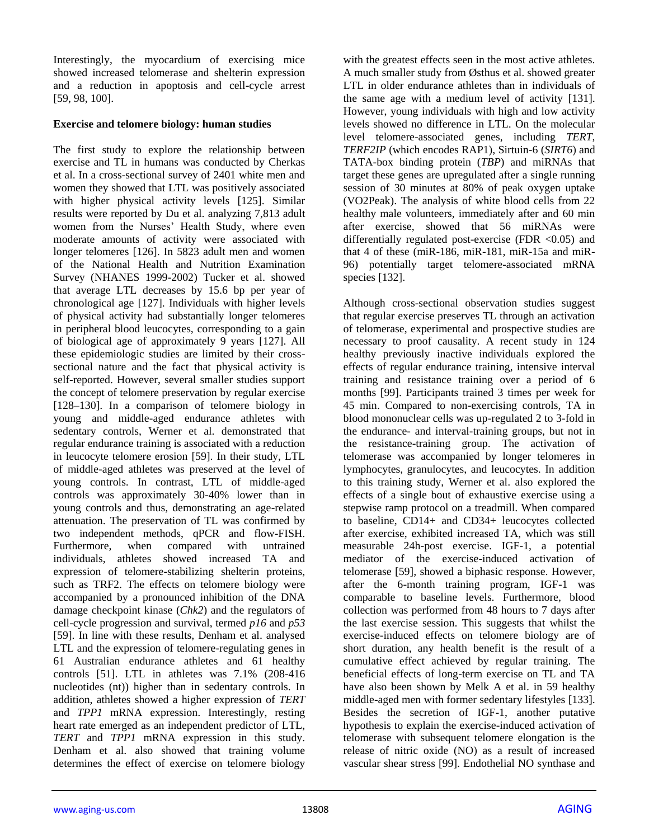Interestingly, the myocardium of exercising mice showed increased telomerase and shelterin expression and a reduction in apoptosis and cell-cycle arrest [59, 98, 100].

#### **Exercise and telomere biology: human studies**

The first study to explore the relationship between exercise and TL in humans was conducted by Cherkas et al. In a cross-sectional survey of 2401 white men and women they showed that LTL was positively associated with higher physical activity levels [125]. Similar results were reported by Du et al. analyzing 7,813 adult women from the Nurses' Health Study, where even moderate amounts of activity were associated with longer telomeres [126]. In 5823 adult men and women of the National Health and Nutrition Examination Survey (NHANES 1999-2002) Tucker et al. showed that average LTL decreases by 15.6 bp per year of chronological age [127]. Individuals with higher levels of physical activity had substantially longer telomeres in peripheral blood leucocytes, corresponding to a gain of biological age of approximately 9 years [127]. All these epidemiologic studies are limited by their crosssectional nature and the fact that physical activity is self-reported. However, several smaller studies support the concept of telomere preservation by regular exercise [128–130]. In a comparison of telomere biology in young and middle-aged endurance athletes with sedentary controls, Werner et al. demonstrated that regular endurance training is associated with a reduction in leucocyte telomere erosion [59]. In their study, LTL of middle-aged athletes was preserved at the level of young controls. In contrast, LTL of middle-aged controls was approximately 30-40% lower than in young controls and thus, demonstrating an age-related attenuation. The preservation of TL was confirmed by two independent methods, qPCR and flow-FISH. Furthermore, when compared with untrained individuals, athletes showed increased TA and expression of telomere-stabilizing shelterin proteins, such as TRF2. The effects on telomere biology were accompanied by a pronounced inhibition of the DNA damage checkpoint kinase (*Chk2*) and the regulators of cell-cycle progression and survival, termed *p16* and *p53* [59]. In line with these results, Denham et al. analysed LTL and the expression of telomere-regulating genes in 61 Australian endurance athletes and 61 healthy controls [51]. LTL in athletes was 7.1% (208-416 nucleotides (nt)) higher than in sedentary controls. In addition, athletes showed a higher expression of *TERT* and *TPP1* mRNA expression. Interestingly, resting heart rate emerged as an independent predictor of LTL, *TERT* and *TPP1* mRNA expression in this study. Denham et al. also showed that training volume determines the effect of exercise on telomere biology

with the greatest effects seen in the most active athletes. A much smaller study from Østhus et al. showed greater LTL in older endurance athletes than in individuals of the same age with a medium level of activity [131]. However, young individuals with high and low activity levels showed no difference in LTL. On the molecular level telomere-associated genes, including *TERT*, *TERF2IP* (which encodes RAP1), Sirtuin-6 (*SIRT6*) and TATA-box binding protein (*TBP*) and miRNAs that target these genes are upregulated after a single running session of 30 minutes at 80% of peak oxygen uptake (VO2Peak). The analysis of white blood cells from 22 healthy male volunteers, immediately after and 60 min after exercise, showed that 56 miRNAs were differentially regulated post-exercise (FDR  $\langle 0.05 \rangle$  and that 4 of these (miR-186, miR-181, miR-15a and miR-96) potentially target telomere-associated mRNA species [132].

Although cross-sectional observation studies suggest that regular exercise preserves TL through an activation of telomerase, experimental and prospective studies are necessary to proof causality. A recent study in 124 healthy previously inactive individuals explored the effects of regular endurance training, intensive interval training and resistance training over a period of 6 months [99]. Participants trained 3 times per week for 45 min. Compared to non-exercising controls, TA in blood mononuclear cells was up-regulated 2 to 3-fold in the endurance- and interval-training groups, but not in the resistance-training group. The activation of telomerase was accompanied by longer telomeres in lymphocytes, granulocytes, and leucocytes. In addition to this training study, Werner et al. also explored the effects of a single bout of exhaustive exercise using a stepwise ramp protocol on a treadmill. When compared to baseline, CD14+ and CD34+ leucocytes collected after exercise, exhibited increased TA, which was still measurable 24h-post exercise. IGF-1, a potential mediator of the exercise-induced activation of telomerase [59], showed a biphasic response. However, after the 6-month training program, IGF-1 was comparable to baseline levels. Furthermore, blood collection was performed from 48 hours to 7 days after the last exercise session. This suggests that whilst the exercise-induced effects on telomere biology are of short duration, any health benefit is the result of a cumulative effect achieved by regular training. The beneficial effects of long-term exercise on TL and TA have also been shown by Melk A et al. in 59 healthy middle-aged men with former sedentary lifestyles [133]. Besides the secretion of IGF-1, another putative hypothesis to explain the exercise-induced activation of telomerase with subsequent telomere elongation is the release of nitric oxide (NO) as a result of increased vascular shear stress [99]. Endothelial NO synthase and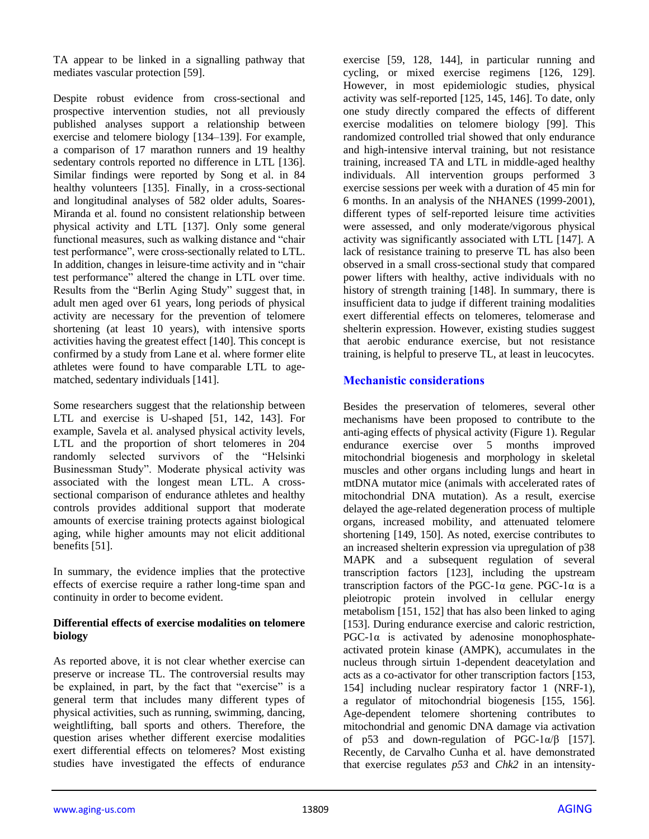TA appear to be linked in a signalling pathway that mediates vascular protection [59].

Despite robust evidence from cross-sectional and prospective intervention studies, not all previously published analyses support a relationship between exercise and telomere biology [134–139]. For example, a comparison of 17 marathon runners and 19 healthy sedentary controls reported no difference in LTL [136]. Similar findings were reported by Song et al. in 84 healthy volunteers [135]. Finally, in a cross-sectional and longitudinal analyses of 582 older adults, Soares-Miranda et al. found no consistent relationship between physical activity and LTL [137]. Only some general functional measures, such as walking distance and "chair test performance", were cross-sectionally related to LTL. In addition, changes in leisure-time activity and in "chair test performance" altered the change in LTL over time. Results from the "Berlin Aging Study" suggest that, in adult men aged over 61 years, long periods of physical activity are necessary for the prevention of telomere shortening (at least 10 years), with intensive sports activities having the greatest effect [140]. This concept is confirmed by a study from Lane et al. where former elite athletes were found to have comparable LTL to agematched, sedentary individuals [141].

Some researchers suggest that the relationship between LTL and exercise is U-shaped [51, 142, 143]. For example, Savela et al. analysed physical activity levels, LTL and the proportion of short telomeres in 204 randomly selected survivors of the "Helsinki Businessman Study". Moderate physical activity was associated with the longest mean LTL. A crosssectional comparison of endurance athletes and healthy controls provides additional support that moderate amounts of exercise training protects against biological aging, while higher amounts may not elicit additional benefits [51].

In summary, the evidence implies that the protective effects of exercise require a rather long-time span and continuity in order to become evident.

#### **Differential effects of exercise modalities on telomere biology**

As reported above, it is not clear whether exercise can preserve or increase TL. The controversial results may be explained, in part, by the fact that "exercise" is a general term that includes many different types of physical activities, such as running, swimming, dancing, weightlifting, ball sports and others. Therefore, the question arises whether different exercise modalities exert differential effects on telomeres? Most existing studies have investigated the effects of endurance

exercise [59, 128, 144], in particular running and cycling, or mixed exercise regimens [126, 129]. However, in most epidemiologic studies, physical activity was self-reported [125, 145, 146]. To date, only one study directly compared the effects of different exercise modalities on telomere biology [99]. This randomized controlled trial showed that only endurance and high-intensive interval training, but not resistance training, increased TA and LTL in middle-aged healthy individuals. All intervention groups performed 3 exercise sessions per week with a duration of 45 min for 6 months. In an analysis of the NHANES (1999-2001), different types of self-reported leisure time activities were assessed, and only moderate/vigorous physical activity was significantly associated with LTL [147]. A lack of resistance training to preserve TL has also been observed in a small cross-sectional study that compared power lifters with healthy, active individuals with no history of strength training [148]. In summary, there is insufficient data to judge if different training modalities exert differential effects on telomeres, telomerase and shelterin expression. However, existing studies suggest that aerobic endurance exercise, but not resistance training, is helpful to preserve TL, at least in leucocytes.

# **Mechanistic considerations**

Besides the preservation of telomeres, several other mechanisms have been proposed to contribute to the anti-aging effects of physical activity (Figure 1). Regular endurance exercise over 5 months improved mitochondrial biogenesis and morphology in skeletal muscles and other organs including lungs and heart in mtDNA mutator mice (animals with accelerated rates of mitochondrial DNA mutation). As a result, exercise delayed the age-related degeneration process of multiple organs, increased mobility, and attenuated telomere shortening [149, 150]. As noted, exercise contributes to an increased shelterin expression via upregulation of p38 MAPK and a subsequent regulation of several transcription factors [123], including the upstream transcription factors of the PGC-1α gene. PGC-1α is a pleiotropic protein involved in cellular energy metabolism [151, 152] that has also been linked to aging [153]. During endurance exercise and caloric restriction,  $PGC-1\alpha$  is activated by adenosine monophosphateactivated protein kinase (AMPK), accumulates in the nucleus through sirtuin 1-dependent deacetylation and acts as a co-activator for other transcription factors [153, 154] including nuclear respiratory factor 1 (NRF-1), a regulator of mitochondrial biogenesis [155, 156]. Age-dependent telomere shortening contributes to mitochondrial and genomic DNA damage via activation of p53 and down-regulation of PGC-1α/β [157]. Recently, de Carvalho Cunha et al. have demonstrated that exercise regulates *p53* and *Chk2* in an intensity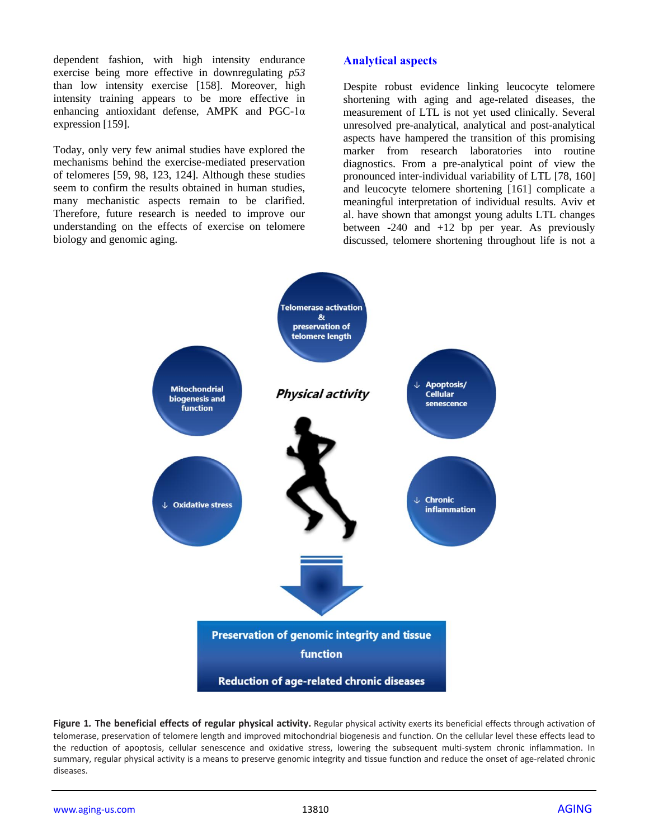dependent fashion, with high intensity endurance exercise being more effective in downregulating *p53* than low intensity exercise [158]. Moreover, high intensity training appears to be more effective in enhancing antioxidant defense, AMPK and PGC-1α expression [159].

Today, only very few animal studies have explored the mechanisms behind the exercise-mediated preservation of telomeres [59, 98, 123, 124]. Although these studies seem to confirm the results obtained in human studies, many mechanistic aspects remain to be clarified. Therefore, future research is needed to improve our understanding on the effects of exercise on telomere biology and genomic aging.

# **Analytical aspects**

Despite robust evidence linking leucocyte telomere shortening with aging and age-related diseases, the measurement of LTL is not yet used clinically. Several unresolved pre-analytical, analytical and post-analytical aspects have hampered the transition of this promising marker from research laboratories into routine diagnostics. From a pre-analytical point of view the pronounced inter-individual variability of LTL [78, 160] and leucocyte telomere shortening [161] complicate a meaningful interpretation of individual results. Aviv et al. have shown that amongst young adults LTL changes between -240 and +12 bp per year. As previously discussed, telomere shortening throughout life is not a



**Figure 1***.* **The beneficial effects of regular physical activity.** Regular physical activity exerts its beneficial effects through activation of telomerase, preservation of telomere length and improved mitochondrial biogenesis and function. On the cellular level these effects lead to the reduction of apoptosis, cellular senescence and oxidative stress, lowering the subsequent multi-system chronic inflammation. In summary, regular physical activity is a means to preserve genomic integrity and tissue function and reduce the onset of age-related chronic diseases.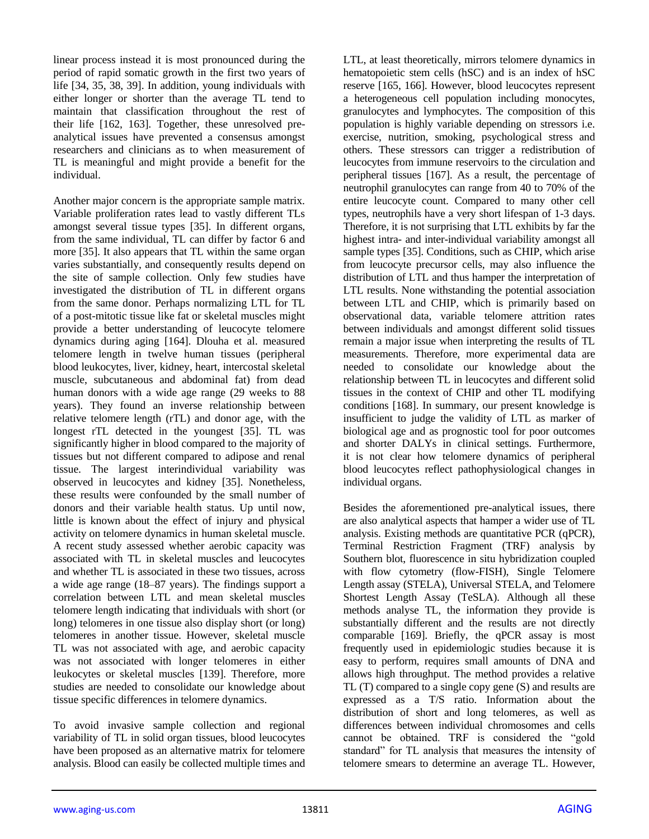linear process instead it is most pronounced during the period of rapid somatic growth in the first two years of life [34, 35, 38, 39]. In addition, young individuals with either longer or shorter than the average TL tend to maintain that classification throughout the rest of their life [162, 163]. Together, these unresolved preanalytical issues have prevented a consensus amongst researchers and clinicians as to when measurement of TL is meaningful and might provide a benefit for the individual.

Another major concern is the appropriate sample matrix. Variable proliferation rates lead to vastly different TLs amongst several tissue types [35]. In different organs, from the same individual, TL can differ by factor 6 and more [35]. It also appears that TL within the same organ varies substantially, and consequently results depend on the site of sample collection. Only few studies have investigated the distribution of TL in different organs from the same donor. Perhaps normalizing LTL for TL of a post-mitotic tissue like fat or skeletal muscles might provide a better understanding of leucocyte telomere dynamics during aging [164]. Dlouha et al. measured telomere length in twelve human tissues (peripheral blood leukocytes, liver, kidney, heart, intercostal skeletal muscle, subcutaneous and abdominal fat) from dead human donors with a wide age range (29 weeks to 88 years). They found an inverse relationship between relative telomere length (rTL) and donor age, with the longest rTL detected in the youngest [35]. TL was significantly higher in blood compared to the majority of tissues but not different compared to adipose and renal tissue. The largest interindividual variability was observed in leucocytes and kidney [35]. Nonetheless, these results were confounded by the small number of donors and their variable health status. Up until now, little is known about the effect of injury and physical activity on telomere dynamics in human skeletal muscle. A recent study assessed whether aerobic capacity was associated with TL in skeletal muscles and leucocytes and whether TL is associated in these two tissues, across a wide age range (18–87 years). The findings support a correlation between LTL and mean skeletal muscles telomere length indicating that individuals with short (or long) telomeres in one tissue also display short (or long) telomeres in another tissue. However, skeletal muscle TL was not associated with age, and aerobic capacity was not associated with longer telomeres in either leukocytes or skeletal muscles [139]. Therefore, more studies are needed to consolidate our knowledge about tissue specific differences in telomere dynamics.

To avoid invasive sample collection and regional variability of TL in solid organ tissues, blood leucocytes have been proposed as an alternative matrix for telomere analysis. Blood can easily be collected multiple times and LTL, at least theoretically, mirrors telomere dynamics in hematopoietic stem cells (hSC) and is an index of hSC reserve [165, 166]. However, blood leucocytes represent a heterogeneous cell population including monocytes, granulocytes and lymphocytes. The composition of this population is highly variable depending on stressors i.e. exercise, nutrition, smoking, psychological stress and others. These stressors can trigger a redistribution of leucocytes from immune reservoirs to the circulation and peripheral tissues [167]. As a result, the percentage of neutrophil granulocytes can range from 40 to 70% of the entire leucocyte count. Compared to many other cell types, neutrophils have a very short lifespan of 1-3 days. Therefore, it is not surprising that LTL exhibits by far the highest intra- and inter-individual variability amongst all sample types [35]. Conditions, such as CHIP, which arise from leucocyte precursor cells, may also influence the distribution of LTL and thus hamper the interpretation of LTL results. None withstanding the potential association between LTL and CHIP, which is primarily based on observational data, variable telomere attrition rates between individuals and amongst different solid tissues remain a major issue when interpreting the results of TL measurements. Therefore, more experimental data are needed to consolidate our knowledge about the relationship between TL in leucocytes and different solid tissues in the context of CHIP and other TL modifying conditions [168]. In summary, our present knowledge is insufficient to judge the validity of LTL as marker of biological age and as prognostic tool for poor outcomes and shorter DALYs in clinical settings. Furthermore, it is not clear how telomere dynamics of peripheral blood leucocytes reflect pathophysiological changes in individual organs.

Besides the aforementioned pre-analytical issues, there are also analytical aspects that hamper a wider use of TL analysis. Existing methods are quantitative PCR (qPCR), Terminal Restriction Fragment (TRF) analysis by Southern blot, fluorescence in situ hybridization coupled with flow cytometry (flow-FISH), Single Telomere Length assay (STELA), Universal STELA, and Telomere Shortest Length Assay (TeSLA). Although all these methods analyse TL, the information they provide is substantially different and the results are not directly comparable [169]. Briefly, the qPCR assay is most frequently used in epidemiologic studies because it is easy to perform, requires small amounts of DNA and allows high throughput. The method provides a relative TL (T) compared to a single copy gene (S) and results are expressed as a T/S ratio. Information about the distribution of short and long telomeres, as well as differences between individual chromosomes and cells cannot be obtained. TRF is considered the "gold standard" for TL analysis that measures the intensity of telomere smears to determine an average TL. However,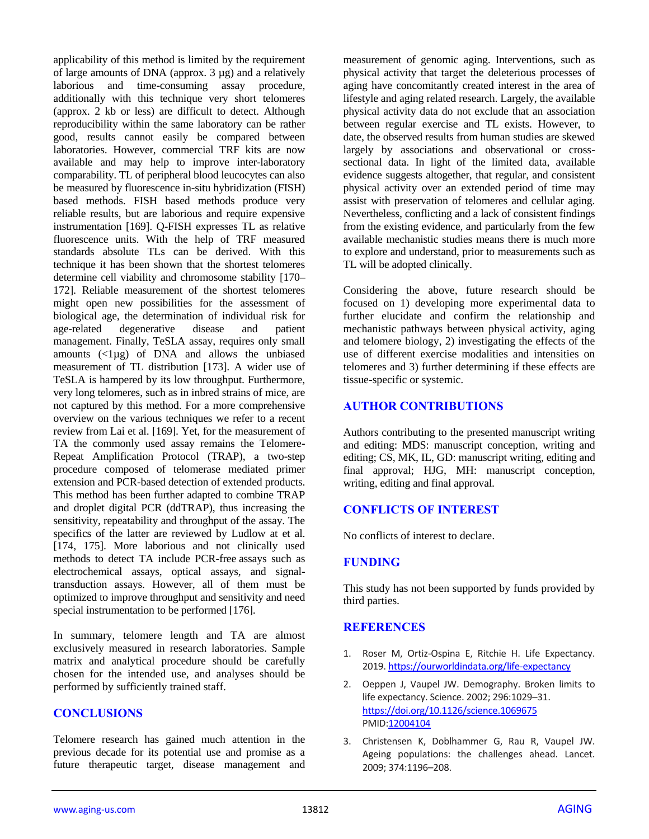applicability of this method is limited by the requirement of large amounts of DNA (approx. 3 µg) and a relatively laborious and time-consuming assay procedure, additionally with this technique very short telomeres (approx. 2 kb or less) are difficult to detect. Although reproducibility within the same laboratory can be rather good, results cannot easily be compared between laboratories. However, commercial TRF kits are now available and may help to improve inter-laboratory comparability. TL of peripheral blood leucocytes can also be measured by fluorescence in-situ hybridization (FISH) based methods. FISH based methods produce very reliable results, but are laborious and require expensive instrumentation [169]. Q-FISH expresses TL as relative fluorescence units. With the help of TRF measured standards absolute TLs can be derived. With this technique it has been shown that the shortest telomeres determine cell viability and chromosome stability [170– 172]. Reliable measurement of the shortest telomeres might open new possibilities for the assessment of biological age, the determination of individual risk for age-related degenerative disease and patient management. Finally, TeSLA assay, requires only small amounts  $(\langle 1 \mu g \rangle)$  of DNA and allows the unbiased measurement of TL distribution [173]. A wider use of TeSLA is hampered by its low throughput. Furthermore, very long telomeres, such as in inbred strains of mice, are not captured by this method. For a more comprehensive overview on the various techniques we refer to a recent review from Lai et al. [169]. Yet, for the measurement of TA the commonly used assay remains the Telomere-Repeat Amplification Protocol (TRAP), a two-step procedure composed of telomerase mediated primer extension and PCR-based detection of extended products. This method has been further adapted to combine TRAP and droplet digital PCR (ddTRAP), thus increasing the sensitivity, repeatability and throughput of the assay. The specifics of the latter are reviewed by Ludlow at et al. [174, 175]. More laborious and not clinically used methods to detect TA include PCR-free assays such as electrochemical assays, optical assays, and signaltransduction assays. However, all of them must be optimized to improve throughput and sensitivity and need special instrumentation to be performed [176].

In summary, telomere length and TA are almost exclusively measured in research laboratories. Sample matrix and analytical procedure should be carefully chosen for the intended use, and analyses should be performed by sufficiently trained staff.

# **CONCLUSIONS**

Telomere research has gained much attention in the previous decade for its potential use and promise as a future therapeutic target, disease management and measurement of genomic aging. Interventions, such as physical activity that target the deleterious processes of aging have concomitantly created interest in the area of lifestyle and aging related research. Largely, the available physical activity data do not exclude that an association between regular exercise and TL exists. However, to date, the observed results from human studies are skewed largely by associations and observational or crosssectional data. In light of the limited data, available evidence suggests altogether, that regular, and consistent physical activity over an extended period of time may assist with preservation of telomeres and cellular aging. Nevertheless, conflicting and a lack of consistent findings from the existing evidence, and particularly from the few available mechanistic studies means there is much more to explore and understand, prior to measurements such as TL will be adopted clinically.

Considering the above, future research should be focused on 1) developing more experimental data to further elucidate and confirm the relationship and mechanistic pathways between physical activity, aging and telomere biology, 2) investigating the effects of the use of different exercise modalities and intensities on telomeres and 3) further determining if these effects are tissue-specific or systemic.

#### **AUTHOR CONTRIBUTIONS**

Authors contributing to the presented manuscript writing and editing: MDS: manuscript conception, writing and editing; CS, MK, IL, GD: manuscript writing, editing and final approval; HJG, MH: manuscript conception, writing, editing and final approval.

# **CONFLICTS OF INTEREST**

No conflicts of interest to declare.

# **FUNDING**

This study has not been supported by funds provided by third parties.

# **REFERENCES**

- 1. Roser M, Ortiz-Ospina E, Ritchie H. Life Expectancy. 2019[. https://ourworldindata.org/life-expectancy](https://ourworldindata.org/life-expectancy)
- 2. Oeppen J, Vaupel JW. Demography. Broken limits to life expectancy. Science. 2002; 296:1029–31. <https://doi.org/10.1126/science.1069675> PMI[D:12004104](https://www.ncbi.nlm.nih.gov/pubmed/12004104)
- 3. Christensen K, Doblhammer G, Rau R, Vaupel JW. Ageing populations: the challenges ahead. Lancet. 2009; 374:1196–208.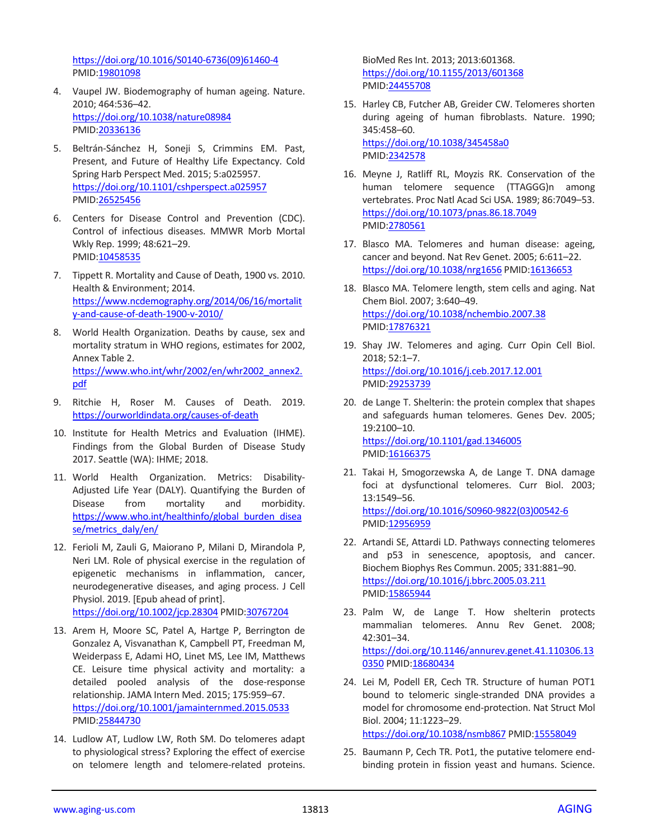[https://doi.org/10.1016/S0140-6736\(09\)61460-4](https://doi.org/10.1016/S0140-6736%2809%2961460-4) PMID[:19801098](https://www.ncbi.nlm.nih.gov/pubmed/19801098)

- 4. Vaupel JW. Biodemography of human ageing. Nature. 2010; 464:536–42. <https://doi.org/10.1038/nature08984> PMID[:20336136](https://www.ncbi.nlm.nih.gov/pubmed/20336136)
- 5. Beltrán-Sánchez H, Soneji S, Crimmins EM. Past, Present, and Future of Healthy Life Expectancy. Cold Spring Harb Perspect Med. 2015; 5:a025957. <https://doi.org/10.1101/cshperspect.a025957> PMID[:26525456](https://www.ncbi.nlm.nih.gov/pubmed/26525456)
- 6. Centers for Disease Control and Prevention (CDC). Control of infectious diseases. MMWR Morb Mortal Wkly Rep. 1999; 48:621–29. PMID[:10458535](https://www.ncbi.nlm.nih.gov/pubmed/10458535)
- 7. Tippett R. Mortality and Cause of Death, 1900 vs. 2010. Health & Environment; 2014. [https://www.ncdemography.org/2014/06/16/mortalit](https://www.ncdemography.org/2014/06/16/mortality-and-cause-of-death-1900-v-2010/) [y-and-cause-of-death-1900-v-2010/](https://www.ncdemography.org/2014/06/16/mortality-and-cause-of-death-1900-v-2010/)
- 8. World Health Organization. Deaths by cause, sex and mortality stratum in WHO regions, estimates for 2002, Annex Table 2. [https://www.who.int/whr/2002/en/whr2002\\_annex2.](https://www.who.int/whr/2002/en/whr2002_annex2.pdf) [pdf](https://www.who.int/whr/2002/en/whr2002_annex2.pdf)
- 9. Ritchie H, Roser M. Causes of Death. 2019. <https://ourworldindata.org/causes-of-death>
- 10. Institute for Health Metrics and Evaluation (IHME). Findings from the Global Burden of Disease Study 2017. Seattle (WA): IHME; 2018.
- 11. World Health Organization. Metrics: Disability-Adjusted Life Year (DALY). Quantifying the Burden of Disease from mortality and morbidity. [https://www.who.int/healthinfo/global\\_burden\\_disea](https://www.who.int/healthinfo/global_burden_disease/metrics_daly/en/) [se/metrics\\_daly/en/](https://www.who.int/healthinfo/global_burden_disease/metrics_daly/en/)
- 12. Ferioli M, Zauli G, Maiorano P, Milani D, Mirandola P, Neri LM. Role of physical exercise in the regulation of epigenetic mechanisms in inflammation, cancer, neurodegenerative diseases, and aging process. J Cell Physiol. 2019. [Epub ahead of print]. <https://doi.org/10.1002/jcp.28304> PMI[D:30767204](https://pubmed.ncbi.nlm.nih.gov/30767204)
- 13. Arem H, Moore SC, Patel A, Hartge P, Berrington de Gonzalez A, Visvanathan K, Campbell PT, Freedman M, Weiderpass E, Adami HO, Linet MS, Lee IM, Matthews CE. Leisure time physical activity and mortality: a detailed pooled analysis of the dose-response relationship. JAMA Intern Med. 2015; 175:959–67. <https://doi.org/10.1001/jamainternmed.2015.0533> PMID[:25844730](https://www.ncbi.nlm.nih.gov/pubmed/25844730)
- 14. Ludlow AT, Ludlow LW, Roth SM. Do telomeres adapt to physiological stress? Exploring the effect of exercise on telomere length and telomere-related proteins.

BioMed Res Int. 2013; 2013:601368. <https://doi.org/10.1155/2013/601368> PMI[D:24455708](https://www.ncbi.nlm.nih.gov/pubmed/24455708)

- 15. Harley CB, Futcher AB, Greider CW. Telomeres shorten during ageing of human fibroblasts. Nature. 1990; 345:458–60. <https://doi.org/10.1038/345458a0> PMI[D:2342578](https://www.ncbi.nlm.nih.gov/pubmed/2342578)
- 16. Meyne J, Ratliff RL, Moyzis RK. Conservation of the human telomere sequence (TTAGGG)n among vertebrates. Proc Natl Acad Sci USA. 1989; 86:7049–53. <https://doi.org/10.1073/pnas.86.18.7049> PMI[D:2780561](https://www.ncbi.nlm.nih.gov/pubmed/2780561)
- 17. Blasco MA. Telomeres and human disease: ageing, cancer and beyond. Nat Rev Genet. 2005; 6:611–22. <https://doi.org/10.1038/nrg1656> PMID[:16136653](https://www.ncbi.nlm.nih.gov/pubmed/16136653)
- 18. Blasco MA. Telomere length, stem cells and aging. Nat Chem Biol. 2007; 3:640–49. <https://doi.org/10.1038/nchembio.2007.38> PMI[D:17876321](https://www.ncbi.nlm.nih.gov/pubmed/17876321)
- 19. Shay JW. Telomeres and aging. Curr Opin Cell Biol. 2018; 52:1–7. <https://doi.org/10.1016/j.ceb.2017.12.001> PMI[D:29253739](https://www.ncbi.nlm.nih.gov/pubmed/29253739)
- 20. de Lange T. Shelterin: the protein complex that shapes and safeguards human telomeres. Genes Dev. 2005; 19:2100–10. <https://doi.org/10.1101/gad.1346005> PMID: 16166375
- 21. Takai H, Smogorzewska A, de Lange T. DNA damage foci at dysfunctional telomeres. Curr Biol. 2003; 13:1549–56. [https://doi.org/10.1016/S0960-9822\(03\)00542-6](https://doi.org/10.1016/S0960-9822%2803%2900542-6) PMI[D:12956959](https://www.ncbi.nlm.nih.gov/pubmed/12956959)
- 22. Artandi SE, Attardi LD. Pathways connecting telomeres and p53 in senescence, apoptosis, and cancer. Biochem Biophys Res Commun. 2005; 331:881–90. <https://doi.org/10.1016/j.bbrc.2005.03.211> PMI[D:15865944](https://www.ncbi.nlm.nih.gov/pubmed/15865944)
- 23. Palm W, de Lange T. How shelterin protects mammalian telomeres. Annu Rev Genet. 2008;  $42.301 - 34$ [https://doi.org/10.1146/annurev.genet.41.110306.13](https://doi.org/10.1146/annurev.genet.41.110306.130350) [0350](https://doi.org/10.1146/annurev.genet.41.110306.130350) PMID: 18680434
- 24. Lei M, Podell ER, Cech TR. Structure of human POT1 bound to telomeric single-stranded DNA provides a model for chromosome end-protection. Nat Struct Mol Biol. 2004; 11:1223–29. <https://doi.org/10.1038/nsmb867> PMID[:15558049](https://www.ncbi.nlm.nih.gov/pubmed/15558049)
- 25. Baumann P, Cech TR. Pot1, the putative telomere endbinding protein in fission yeast and humans. Science.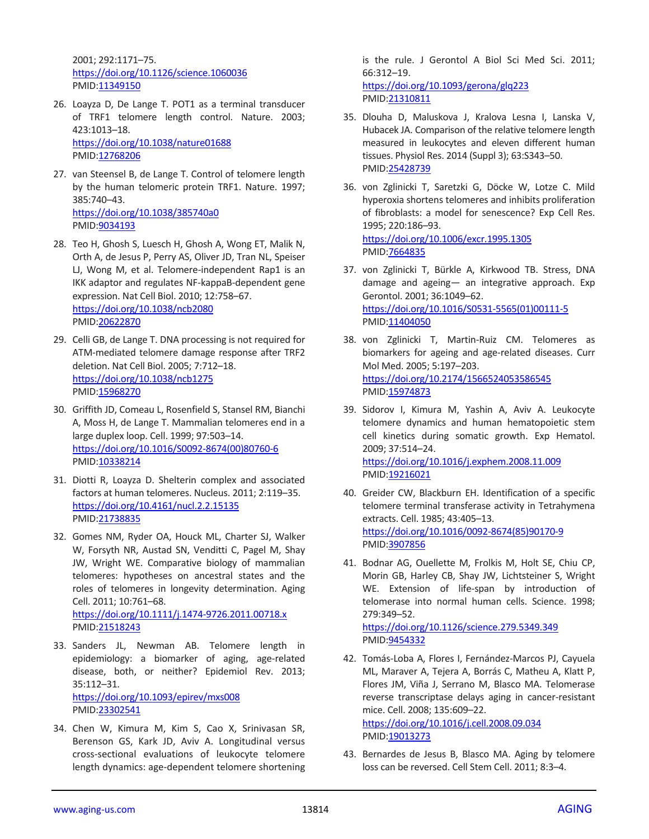2001; 292:1171–75. <https://doi.org/10.1126/science.1060036> PMID[:11349150](https://www.ncbi.nlm.nih.gov/pubmed/11349150)

- 26. Loayza D, De Lange T. POT1 as a terminal transducer of TRF1 telomere length control. Nature. 2003; 423:1013–18. <https://doi.org/10.1038/nature01688> PMID[:12768206](https://www.ncbi.nlm.nih.gov/pubmed/12768206)
- 27. van Steensel B, de Lange T. Control of telomere length by the human telomeric protein TRF1. Nature. 1997; 385:740–43. <https://doi.org/10.1038/385740a0> PMID[:9034193](https://www.ncbi.nlm.nih.gov/pubmed/9034193)
- 28. Teo H, Ghosh S, Luesch H, Ghosh A, Wong ET, Malik N, Orth A, de Jesus P, Perry AS, Oliver JD, Tran NL, Speiser LJ, Wong M, et al. Telomere-independent Rap1 is an IKK adaptor and regulates NF-kappaB-dependent gene expression. Nat Cell Biol. 2010; 12:758–67. <https://doi.org/10.1038/ncb2080> PMID[:20622870](https://www.ncbi.nlm.nih.gov/pubmed/20622870)
- 29. Celli GB, de Lange T. DNA processing is not required for ATM-mediated telomere damage response after TRF2 deletion. Nat Cell Biol. 2005; 7:712–18. <https://doi.org/10.1038/ncb1275> PMID[:15968270](https://www.ncbi.nlm.nih.gov/pubmed/15968270)
- 30. Griffith JD, Comeau L, Rosenfield S, Stansel RM, Bianchi A, Moss H, de Lange T. Mammalian telomeres end in a large duplex loop. Cell. 1999; 97:503–14. [https://doi.org/10.1016/S0092-8674\(00\)80760-6](https://doi.org/10.1016/S0092-8674%2800%2980760-6) PMID[:10338214](https://www.ncbi.nlm.nih.gov/pubmed/10338214)
- 31. Diotti R, Loayza D. Shelterin complex and associated factors at human telomeres. Nucleus. 2011; 2:119–35. <https://doi.org/10.4161/nucl.2.2.15135> PMID[:21738835](https://www.ncbi.nlm.nih.gov/pubmed/21738835)
- 32. Gomes NM, Ryder OA, Houck ML, Charter SJ, Walker W, Forsyth NR, Austad SN, Venditti C, Pagel M, Shay JW, Wright WE. Comparative biology of mammalian telomeres: hypotheses on ancestral states and the roles of telomeres in longevity determination. Aging Cell. 2011; 10:761–68. <https://doi.org/10.1111/j.1474-9726.2011.00718.x> PMID[:21518243](https://www.ncbi.nlm.nih.gov/pubmed/21518243)
- 33. Sanders JL, Newman AB. Telomere length in epidemiology: a biomarker of aging, age-related disease, both, or neither? Epidemiol Rev. 2013; 35:112–31. <https://doi.org/10.1093/epirev/mxs008> PMID[:23302541](https://www.ncbi.nlm.nih.gov/pubmed/23302541)
- 34. Chen W, Kimura M, Kim S, Cao X, Srinivasan SR, Berenson GS, Kark JD, Aviv A. Longitudinal versus cross-sectional evaluations of leukocyte telomere length dynamics: age-dependent telomere shortening

is the rule. J Gerontol A Biol Sci Med Sci. 2011; 66:312–19. <https://doi.org/10.1093/gerona/glq223>

- PMI[D:21310811](https://pubmed.ncbi.nlm.nih.gov/21310811)
- 35. Dlouha D, Maluskova J, Kralova Lesna I, Lanska V, Hubacek JA. Comparison of the relative telomere length measured in leukocytes and eleven different human tissues. Physiol Res. 2014 (Suppl 3); 63:S343–50. PMI[D:25428739](https://www.ncbi.nlm.nih.gov/pubmed/25428739)
- 36. von Zglinicki T, Saretzki G, Döcke W, Lotze C. Mild hyperoxia shortens telomeres and inhibits proliferation of fibroblasts: a model for senescence? Exp Cell Res. 1995; 220:186–93. <https://doi.org/10.1006/excr.1995.1305> PMI[D:7664835](https://www.ncbi.nlm.nih.gov/pubmed/7664835)
- 37. von Zglinicki T, Bürkle A, Kirkwood TB. Stress, DNA damage and ageing— an integrative approach. Exp Gerontol. 2001; 36:1049–62. [https://doi.org/10.1016/S0531-5565\(01\)00111-5](https://doi.org/10.1016/S0531-5565%2801%2900111-5) PMI[D:11404050](https://www.ncbi.nlm.nih.gov/pubmed/11404050)
- 38. von Zglinicki T, Martin-Ruiz CM. Telomeres as biomarkers for ageing and age-related diseases. Curr Mol Med. 2005; 5:197–203. <https://doi.org/10.2174/1566524053586545> PMI[D:15974873](https://www.ncbi.nlm.nih.gov/pubmed/15974873)
- 39. Sidorov I, Kimura M, Yashin A, Aviv A. Leukocyte telomere dynamics and human hematopoietic stem cell kinetics during somatic growth. Exp Hematol. 2009; 37:514–24. <https://doi.org/10.1016/j.exphem.2008.11.009> PMI[D:19216021](https://www.ncbi.nlm.nih.gov/pubmed/19216021)
- 40. Greider CW, Blackburn EH. Identification of a specific telomere terminal transferase activity in Tetrahymena extracts. Cell. 1985; 43:405–13. [https://doi.org/10.1016/0092-8674\(85\)90170-9](https://doi.org/10.1016/0092-8674%2885%2990170-9) PMI[D:3907856](https://www.ncbi.nlm.nih.gov/pubmed/3907856)
- 41. Bodnar AG, Ouellette M, Frolkis M, Holt SE, Chiu CP, Morin GB, Harley CB, Shay JW, Lichtsteiner S, Wright WE. Extension of life-span by introduction of telomerase into normal human cells. Science. 1998; 279:349–52.

<https://doi.org/10.1126/science.279.5349.349> PMI[D:9454332](https://www.ncbi.nlm.nih.gov/pubmed/9454332)

42. Tomás-Loba A, Flores I, Fernández-Marcos PJ, Cayuela ML, Maraver A, Tejera A, Borrás C, Matheu A, Klatt P, Flores JM, Viña J, Serrano M, Blasco MA. Telomerase reverse transcriptase delays aging in cancer-resistant mice. Cell. 2008; 135:609–22.

<https://doi.org/10.1016/j.cell.2008.09.034> PMI[D:19013273](https://www.ncbi.nlm.nih.gov/pubmed/19013273)

43. Bernardes de Jesus B, Blasco MA. Aging by telomere loss can be reversed. Cell Stem Cell. 2011; 8:3–4.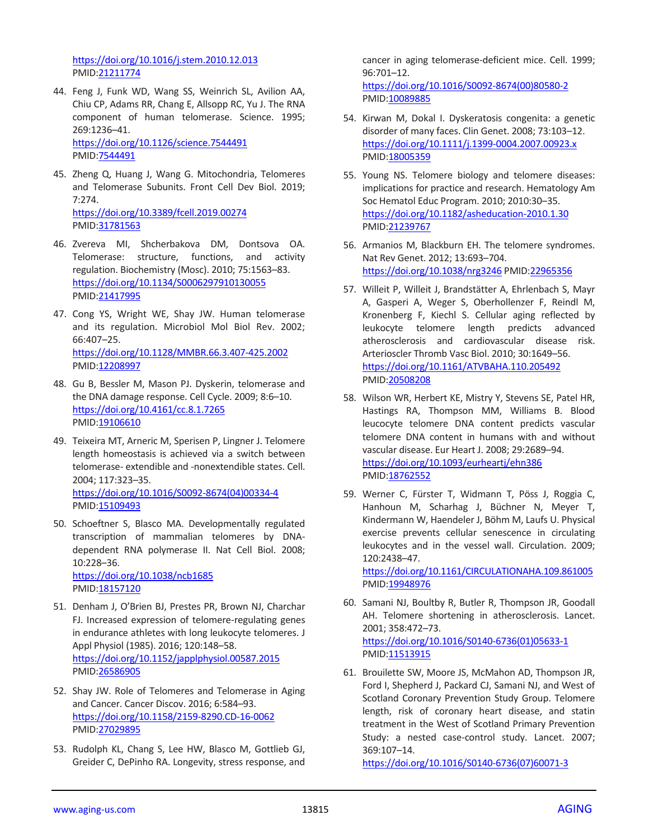<https://doi.org/10.1016/j.stem.2010.12.013> PMID[:21211774](https://www.ncbi.nlm.nih.gov/pubmed/21211774)

- 44. Feng J, Funk WD, Wang SS, Weinrich SL, Avilion AA, Chiu CP, Adams RR, Chang E, Allsopp RC, Yu J. The RNA component of human telomerase. Science. 1995; 269:1236–41. <https://doi.org/10.1126/science.7544491> PMID[:7544491](https://www.ncbi.nlm.nih.gov/pubmed/7544491)
- 45. Zheng Q, Huang J, Wang G. Mitochondria, Telomeres and Telomerase Subunits. Front Cell Dev Biol. 2019;  $7.274$ <https://doi.org/10.3389/fcell.2019.00274> PMID[:31781563](https://www.ncbi.nlm.nih.gov/pubmed/31781563)
- 46. Zvereva MI, Shcherbakova DM, Dontsova OA. Telomerase: structure, functions, and activity regulation. Biochemistry (Mosc). 2010; 75:1563–83. <https://doi.org/10.1134/S0006297910130055> PMID[:21417995](https://www.ncbi.nlm.nih.gov/pubmed/21417995)
- 47. Cong YS, Wright WE, Shay JW. Human telomerase and its regulation. Microbiol Mol Biol Rev. 2002; 66:407–25. <https://doi.org/10.1128/MMBR.66.3.407-425.2002> PMID[:12208997](https://www.ncbi.nlm.nih.gov/pubmed/12208997)
- 48. Gu B, Bessler M, Mason PJ. Dyskerin, telomerase and the DNA damage response. Cell Cycle. 2009; 8:6–10. <https://doi.org/10.4161/cc.8.1.7265> PMID[:19106610](https://www.ncbi.nlm.nih.gov/pubmed/19106610)
- 49. Teixeira MT, Arneric M, Sperisen P, Lingner J. Telomere length homeostasis is achieved via a switch between telomerase- extendible and -nonextendible states. Cell. 2004; 117:323–35. [https://doi.org/10.1016/S0092-8674\(04\)00334-4](https://doi.org/10.1016/S0092-8674%2804%2900334-4) PMID[:15109493](https://www.ncbi.nlm.nih.gov/pubmed/15109493)
- 50. Schoeftner S, Blasco MA. Developmentally regulated transcription of mammalian telomeres by DNAdependent RNA polymerase II. Nat Cell Biol. 2008; 10:228–36. <https://doi.org/10.1038/ncb1685> PMID[:18157120](https://www.ncbi.nlm.nih.gov/pubmed/18157120)
- 51. Denham J, O'Brien BJ, Prestes PR, Brown NJ, Charchar FJ. Increased expression of telomere-regulating genes in endurance athletes with long leukocyte telomeres. J Appl Physiol (1985). 2016; 120:148–58. <https://doi.org/10.1152/japplphysiol.00587.2015> PMID[:26586905](https://www.ncbi.nlm.nih.gov/pubmed/26586905)
- 52. Shay JW. Role of Telomeres and Telomerase in Aging and Cancer. Cancer Discov. 2016; 6:584–93. <https://doi.org/10.1158/2159-8290.CD-16-0062> PMID[:27029895](https://www.ncbi.nlm.nih.gov/pubmed/27029895)
- 53. Rudolph KL, Chang S, Lee HW, Blasco M, Gottlieb GJ, Greider C, DePinho RA. Longevity, stress response, and

cancer in aging telomerase-deficient mice. Cell. 1999; 96:701–12. [https://doi.org/10.1016/S0092-8674\(00\)80580-2](https://doi.org/10.1016/S0092-8674%2800%2980580-2)

54. Kirwan M, Dokal I. Dyskeratosis congenita: a genetic disorder of many faces. Clin Genet. 2008; 73:103–12. <https://doi.org/10.1111/j.1399-0004.2007.00923.x> PMI[D:18005359](https://www.ncbi.nlm.nih.gov/pubmed/18005359)

PMID: 10089885

- 55. Young NS. Telomere biology and telomere diseases: implications for practice and research. Hematology Am Soc Hematol Educ Program. 2010; 2010:30–35. <https://doi.org/10.1182/asheducation-2010.1.30> PMI[D:21239767](https://www.ncbi.nlm.nih.gov/pubmed/21239767)
- 56. Armanios M, Blackburn EH. The telomere syndromes. Nat Rev Genet. 2012; 13:693–704. <https://doi.org/10.1038/nrg3246> PMID[:22965356](https://www.ncbi.nlm.nih.gov/pubmed/22965356)
- 57. Willeit P, Willeit J, Brandstätter A, Ehrlenbach S, Mayr A, Gasperi A, Weger S, Oberhollenzer F, Reindl M, Kronenberg F, Kiechl S. Cellular aging reflected by leukocyte telomere length predicts advanced atherosclerosis and cardiovascular disease risk. Arterioscler Thromb Vasc Biol. 2010; 30:1649–56. <https://doi.org/10.1161/ATVBAHA.110.205492> PMI[D:20508208](https://www.ncbi.nlm.nih.gov/pubmed/20508208)
- 58. Wilson WR, Herbert KE, Mistry Y, Stevens SE, Patel HR, Hastings RA, Thompson MM, Williams B. Blood leucocyte telomere DNA content predicts vascular telomere DNA content in humans with and without vascular disease. Eur Heart J. 2008; 29:2689–94. <https://doi.org/10.1093/eurheartj/ehn386> PMI[D:18762552](https://www.ncbi.nlm.nih.gov/pubmed/18762552)
- 59. Werner C, Fürster T, Widmann T, Pöss J, Roggia C, Hanhoun M, Scharhag J, Büchner N, Meyer T, Kindermann W, Haendeler J, Böhm M, Laufs U. Physical exercise prevents cellular senescence in circulating leukocytes and in the vessel wall. Circulation. 2009; 120:2438–47.

<https://doi.org/10.1161/CIRCULATIONAHA.109.861005> PMI[D:19948976](https://www.ncbi.nlm.nih.gov/pubmed/19948976)

- 60. Samani NJ, Boultby R, Butler R, Thompson JR, Goodall AH. Telomere shortening in atherosclerosis. Lancet. 2001; 358:472–73. [https://doi.org/10.1016/S0140-6736\(01\)05633-1](https://doi.org/10.1016/S0140-6736%2801%2905633-1) PMI[D:11513915](https://www.ncbi.nlm.nih.gov/pubmed/11513915)
- 61. Brouilette SW, Moore JS, McMahon AD, Thompson JR, Ford I, Shepherd J, Packard CJ, Samani NJ, and West of Scotland Coronary Prevention Study Group. Telomere length, risk of coronary heart disease, and statin treatment in the West of Scotland Primary Prevention Study: a nested case-control study. Lancet. 2007; 369:107–14.

[https://doi.org/10.1016/S0140-6736\(07\)60071-3](https://doi.org/10.1016/S0140-6736%2807%2960071-3)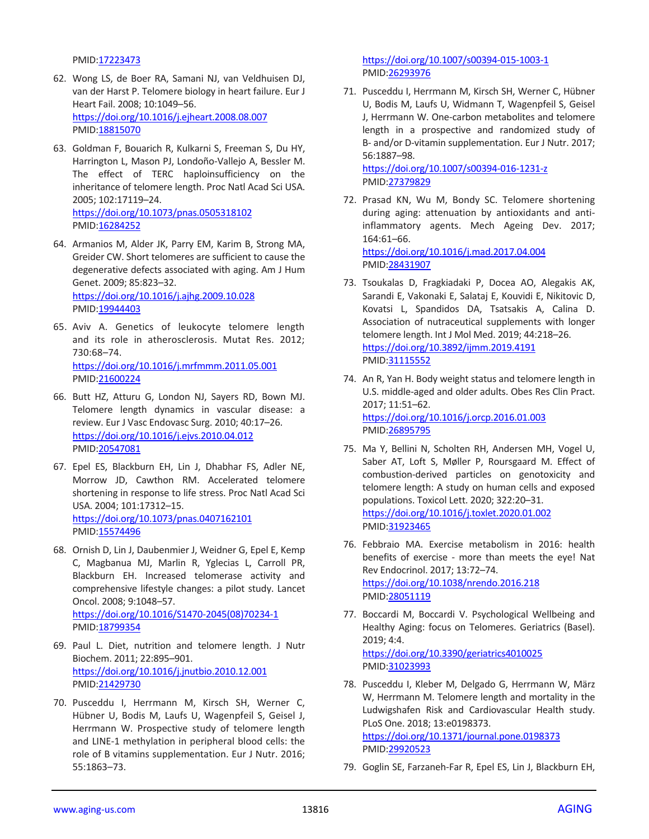PMID[:17223473](https://www.ncbi.nlm.nih.gov/pubmed/17223473)

- 62. Wong LS, de Boer RA, Samani NJ, van Veldhuisen DJ, van der Harst P. Telomere biology in heart failure. Eur J Heart Fail. 2008; 10:1049–56. <https://doi.org/10.1016/j.ejheart.2008.08.007> PMID[:18815070](https://www.ncbi.nlm.nih.gov/pubmed/18815070)
- 63. Goldman F, Bouarich R, Kulkarni S, Freeman S, Du HY, Harrington L, Mason PJ, Londoño-Vallejo A, Bessler M. The effect of TERC haploinsufficiency on the inheritance of telomere length. Proc Natl Acad Sci USA. 2005; 102:17119–24. <https://doi.org/10.1073/pnas.0505318102> PMID[:16284252](https://www.ncbi.nlm.nih.gov/pubmed/16284252)
- 64. Armanios M, Alder JK, Parry EM, Karim B, Strong MA, Greider CW. Short telomeres are sufficient to cause the degenerative defects associated with aging. Am J Hum Genet. 2009; 85:823–32. <https://doi.org/10.1016/j.ajhg.2009.10.028>

PMID[:19944403](https://www.ncbi.nlm.nih.gov/pubmed/19944403)

- 65. Aviv A. Genetics of leukocyte telomere length and its role in atherosclerosis. Mutat Res. 2012; 730:68–74. <https://doi.org/10.1016/j.mrfmmm.2011.05.001> PMID[:21600224](https://www.ncbi.nlm.nih.gov/pubmed/21600224)
- 66. Butt HZ, Atturu G, London NJ, Sayers RD, Bown MJ. Telomere length dynamics in vascular disease: a review. Eur J Vasc Endovasc Surg. 2010; 40:17–26. <https://doi.org/10.1016/j.ejvs.2010.04.012> PMID[:20547081](https://www.ncbi.nlm.nih.gov/pubmed/20547081)
- 67. Epel ES, Blackburn EH, Lin J, Dhabhar FS, Adler NE, Morrow JD, Cawthon RM. Accelerated telomere shortening in response to life stress. Proc Natl Acad Sci USA. 2004; 101:17312–15. <https://doi.org/10.1073/pnas.0407162101> PMID[:15574496](https://www.ncbi.nlm.nih.gov/pubmed/15574496)
- 68. Ornish D, Lin J, Daubenmier J, Weidner G, Epel E, Kemp C, Magbanua MJ, Marlin R, Yglecias L, Carroll PR, Blackburn EH. Increased telomerase activity and comprehensive lifestyle changes: a pilot study. Lancet Oncol. 2008; 9:1048–57. [https://doi.org/10.1016/S1470-2045\(08\)70234-1](https://doi.org/10.1016/S1470-2045%2808%2970234-1) PMID[:18799354](https://www.ncbi.nlm.nih.gov/pubmed/18799354)
- 69. Paul L. Diet, nutrition and telomere length. J Nutr Biochem. 2011; 22:895–901. <https://doi.org/10.1016/j.jnutbio.2010.12.001> PMID[:21429730](https://www.ncbi.nlm.nih.gov/pubmed/21429730)
- 70. Pusceddu I, Herrmann M, Kirsch SH, Werner C, Hübner U, Bodis M, Laufs U, Wagenpfeil S, Geisel J, Herrmann W. Prospective study of telomere length and LINE-1 methylation in peripheral blood cells: the role of B vitamins supplementation. Eur J Nutr. 2016; 55:1863–73.

<https://doi.org/10.1007/s00394-015-1003-1> PMI[D:26293976](https://www.ncbi.nlm.nih.gov/pubmed/26293976)

71. Pusceddu I, Herrmann M, Kirsch SH, Werner C, Hübner U, Bodis M, Laufs U, Widmann T, Wagenpfeil S, Geisel J, Herrmann W. One-carbon metabolites and telomere length in a prospective and randomized study of B- and/or D-vitamin supplementation. Eur J Nutr. 2017; 56:1887–98.

<https://doi.org/10.1007/s00394-016-1231-z> PMI[D:27379829](https://www.ncbi.nlm.nih.gov/pubmed/27379829)

72. Prasad KN, Wu M, Bondy SC. Telomere shortening during aging: attenuation by antioxidants and antiinflammatory agents. Mech Ageing Dev. 2017; 164:61–66. <https://doi.org/10.1016/j.mad.2017.04.004>

PMI[D:28431907](https://www.ncbi.nlm.nih.gov/pubmed/28431907)

- 73. Tsoukalas D, Fragkiadaki P, Docea AO, Alegakis AK, Sarandi E, Vakonaki E, Salataj E, Kouvidi E, Nikitovic D, Kovatsi L, Spandidos DA, Tsatsakis A, Calina D. Association of nutraceutical supplements with longer telomere length. Int J Mol Med. 2019; 44:218–26. <https://doi.org/10.3892/ijmm.2019.4191> PMI[D:31115552](https://www.ncbi.nlm.nih.gov/pubmed/31115552)
- 74. An R, Yan H. Body weight status and telomere length in U.S. middle-aged and older adults. Obes Res Clin Pract. 2017; 11:51–62. <https://doi.org/10.1016/j.orcp.2016.01.003> PMI[D:26895795](https://www.ncbi.nlm.nih.gov/pubmed/26895795)
- 75. Ma Y, Bellini N, Scholten RH, Andersen MH, Vogel U, Saber AT, Loft S, Møller P, Roursgaard M. Effect of combustion-derived particles on genotoxicity and telomere length: A study on human cells and exposed populations. Toxicol Lett. 2020; 322:20–31. <https://doi.org/10.1016/j.toxlet.2020.01.002> PMI[D:31923465](https://www.ncbi.nlm.nih.gov/pubmed/31923465)
- 76. Febbraio MA. Exercise metabolism in 2016: health benefits of exercise - more than meets the eye! Nat Rev Endocrinol. 2017; 13:72–74. <https://doi.org/10.1038/nrendo.2016.218> PMI[D:28051119](https://www.ncbi.nlm.nih.gov/pubmed/28051119)
- 77. Boccardi M, Boccardi V. Psychological Wellbeing and Healthy Aging: focus on Telomeres. Geriatrics (Basel). 2019; 4:4. <https://doi.org/10.3390/geriatrics4010025>

PMI[D:31023993](https://www.ncbi.nlm.nih.gov/pubmed/31023993)

- 78. Pusceddu I, Kleber M, Delgado G, Herrmann W, März W, Herrmann M. Telomere length and mortality in the Ludwigshafen Risk and Cardiovascular Health study. PLoS One. 2018; 13:e0198373. <https://doi.org/10.1371/journal.pone.0198373> PMI[D:29920523](https://www.ncbi.nlm.nih.gov/pubmed/29920523)
- 79. Goglin SE, Farzaneh-Far R, Epel ES, Lin J, Blackburn EH,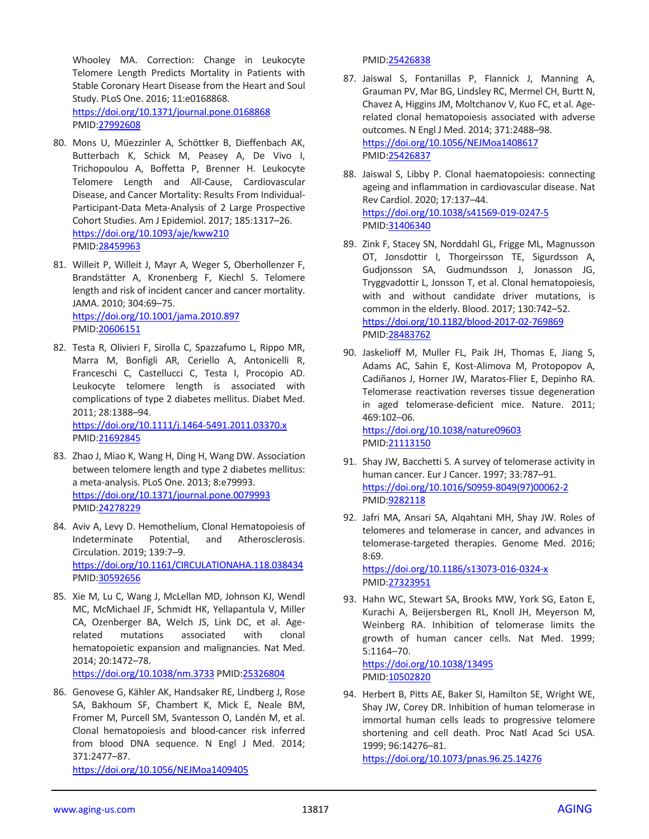Whooley MA. Correction: Change in Leukocyte Telomere Length Predicts Mortality in Patients with Stable Coronary Heart Disease from the Heart and Soul Study. PLoS One. 2016; 11:e0168868. <https://doi.org/10.1371/journal.pone.0168868>

PMID[:27992608](https://www.ncbi.nlm.nih.gov/pubmed/27992608)

- 80. Mons U, Müezzinler A, Schöttker B, Dieffenbach AK, Butterbach K, Schick M, Peasey A, De Vivo I, Trichopoulou A, Boffetta P, Brenner H. Leukocyte Telomere Length and All-Cause, Cardiovascular Disease, and Cancer Mortality: Results From Individual-Participant-Data Meta-Analysis of 2 Large Prospective Cohort Studies. Am J Epidemiol. 2017; 185:1317–26. <https://doi.org/10.1093/aje/kww210> PMID[:28459963](https://www.ncbi.nlm.nih.gov/pubmed/28459963)
- 81. Willeit P, Willeit J, Mayr A, Weger S, Oberhollenzer F, Brandstätter A, Kronenberg F, Kiechl S. Telomere length and risk of incident cancer and cancer mortality. JAMA. 2010; 304:69–75. <https://doi.org/10.1001/jama.2010.897> PMID[:20606151](https://www.ncbi.nlm.nih.gov/pubmed/20606151)
- 82. Testa R, Olivieri F, Sirolla C, Spazzafumo L, Rippo MR, Marra M, Bonfigli AR, Ceriello A, Antonicelli R, Franceschi C, Castellucci C, Testa I, Procopio AD. Leukocyte telomere length is associated with complications of type 2 diabetes mellitus. Diabet Med. 2011; 28:1388–94. <https://doi.org/10.1111/j.1464-5491.2011.03370.x> PMID[:21692845](https://www.ncbi.nlm.nih.gov/pubmed/21692845)
- 83. Zhao J, Miao K, Wang H, Ding H, Wang DW. Association between telomere length and type 2 diabetes mellitus: a meta-analysis. PLoS One. 2013; 8:e79993. <https://doi.org/10.1371/journal.pone.0079993> PMID[:24278229](https://www.ncbi.nlm.nih.gov/pubmed/24278229)
- 84. Aviv A, Levy D. Hemothelium, Clonal Hematopoiesis of Indeterminate Potential, and Atherosclerosis. Circulation. 2019; 139:7–9. <https://doi.org/10.1161/CIRCULATIONAHA.118.038434> PMID[:30592656](https://www.ncbi.nlm.nih.gov/pubmed/30592656)
- 85. Xie M, Lu C, Wang J, McLellan MD, Johnson KJ, Wendl MC, McMichael JF, Schmidt HK, Yellapantula V, Miller CA, Ozenberger BA, Welch JS, Link DC, et al. Agerelated mutations associated with clonal hematopoietic expansion and malignancies. Nat Med. 2014; 20:1472–78. <https://doi.org/10.1038/nm.3733> PMID[:25326804](https://www.ncbi.nlm.nih.gov/pubmed/25326804)
- 86. Genovese G, Kähler AK, Handsaker RE, Lindberg J, Rose SA, Bakhoum SF, Chambert K, Mick E, Neale BM, Fromer M, Purcell SM, Svantesson O, Landén M, et al. Clonal hematopoiesis and blood-cancer risk inferred from blood DNA sequence. N Engl J Med. 2014; 371:2477–87.

<https://doi.org/10.1056/NEJMoa1409405>

PMI[D:25426838](https://www.ncbi.nlm.nih.gov/pubmed/25426838)

- 87. Jaiswal S, Fontanillas P, Flannick J, Manning A, Grauman PV, Mar BG, Lindsley RC, Mermel CH, Burtt N, Chavez A, Higgins JM, Moltchanov V, Kuo FC, et al. Agerelated clonal hematopoiesis associated with adverse outcomes. N Engl J Med. 2014; 371:2488–98. <https://doi.org/10.1056/NEJMoa1408617> PMI[D:25426837](https://www.ncbi.nlm.nih.gov/pubmed/25426837)
- 88. Jaiswal S, Libby P. Clonal haematopoiesis: connecting ageing and inflammation in cardiovascular disease. Nat Rev Cardiol. 2020; 17:137–44. <https://doi.org/10.1038/s41569-019-0247-5> PMI[D:31406340](https://www.ncbi.nlm.nih.gov/pubmed/31406340)
- 89. Zink F, Stacey SN, Norddahl GL, Frigge ML, Magnusson OT, Jonsdottir I, Thorgeirsson TE, Sigurdsson A, Gudjonsson SA, Gudmundsson J, Jonasson JG, Tryggvadottir L, Jonsson T, et al. Clonal hematopoiesis, with and without candidate driver mutations, is common in the elderly. Blood. 2017; 130:742–52. <https://doi.org/10.1182/blood-2017-02-769869> PMI[D:28483762](https://www.ncbi.nlm.nih.gov/pubmed/28483762)
- 90. Jaskelioff M, Muller FL, Paik JH, Thomas E, Jiang S, Adams AC, Sahin E, Kost-Alimova M, Protopopov A, Cadiñanos J, Horner JW, Maratos-Flier E, Depinho RA. Telomerase reactivation reverses tissue degeneration in aged telomerase-deficient mice. Nature. 2011; 469:102–06. <https://doi.org/10.1038/nature09603>

PMI[D:21113150](https://www.ncbi.nlm.nih.gov/pubmed/21113150)

- 91. Shay JW, Bacchetti S. A survey of telomerase activity in human cancer. Eur J Cancer. 1997; 33:787–91. [https://doi.org/10.1016/S0959-8049\(97\)00062-2](https://doi.org/10.1016/S0959-8049%2897%2900062-2) PMI[D:9282118](https://www.ncbi.nlm.nih.gov/pubmed/9282118)
- 92. Jafri MA, Ansari SA, Alqahtani MH, Shay JW. Roles of telomeres and telomerase in cancer, and advances in telomerase-targeted therapies. Genome Med. 2016; 8:69.

<https://doi.org/10.1186/s13073-016-0324-x> PMI[D:27323951](https://www.ncbi.nlm.nih.gov/pubmed/27323951)

93. Hahn WC, Stewart SA, Brooks MW, York SG, Eaton E, Kurachi A, Beijersbergen RL, Knoll JH, Meyerson M, Weinberg RA. Inhibition of telomerase limits the growth of human cancer cells. Nat Med. 1999; 5:1164–70. <https://doi.org/10.1038/13495>

PMI[D:10502820](https://www.ncbi.nlm.nih.gov/pubmed/10502820)

94. Herbert B, Pitts AE, Baker SI, Hamilton SE, Wright WE, Shay JW, Corey DR. Inhibition of human telomerase in immortal human cells leads to progressive telomere shortening and cell death. Proc Natl Acad Sci USA. 1999; 96:14276–81.

<https://doi.org/10.1073/pnas.96.25.14276>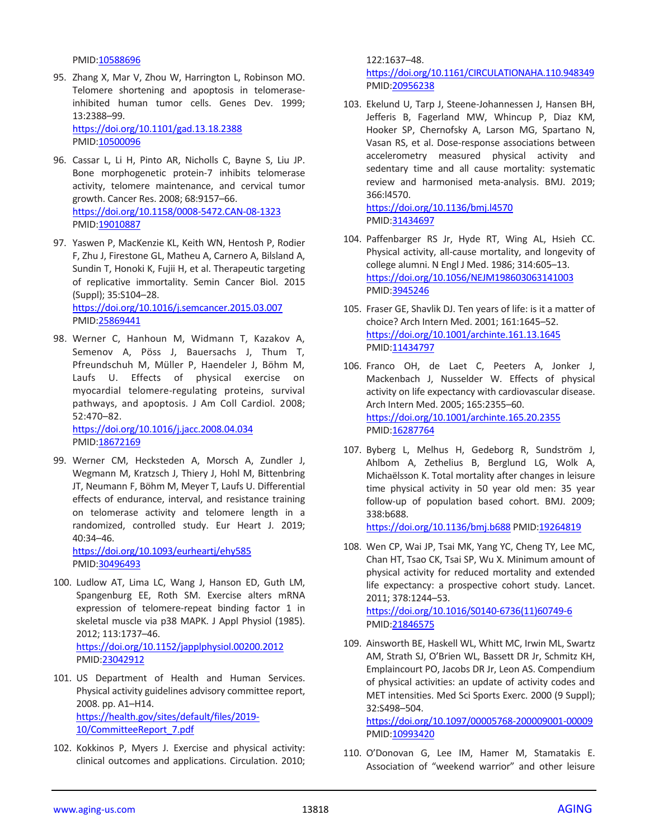PMID[:10588696](https://www.ncbi.nlm.nih.gov/pubmed/10588696)

95. Zhang X, Mar V, Zhou W, Harrington L, Robinson MO. Telomere shortening and apoptosis in telomeraseinhibited human tumor cells. Genes Dev. 1999; 13:2388–99.

<https://doi.org/10.1101/gad.13.18.2388> PMID[:10500096](https://www.ncbi.nlm.nih.gov/pubmed/10500096)

- 96. Cassar L, Li H, Pinto AR, Nicholls C, Bayne S, Liu JP. Bone morphogenetic protein-7 inhibits telomerase activity, telomere maintenance, and cervical tumor growth. Cancer Res. 2008; 68:9157–66. <https://doi.org/10.1158/0008-5472.CAN-08-1323> PMID: 19010887
- 97. Yaswen P, MacKenzie KL, Keith WN, Hentosh P, Rodier F, Zhu J, Firestone GL, Matheu A, Carnero A, Bilsland A, Sundin T, Honoki K, Fujii H, et al. Therapeutic targeting of replicative immortality. Semin Cancer Biol. 2015 (Suppl); 35:S104–28. <https://doi.org/10.1016/j.semcancer.2015.03.007> PMID[:25869441](https://www.ncbi.nlm.nih.gov/pubmed/25869441)
- 98. Werner C, Hanhoun M, Widmann T, Kazakov A, Semenov A, Pöss J, Bauersachs J, Thum T, Pfreundschuh M, Müller P, Haendeler J, Böhm M, Laufs U. Effects of physical exercise on myocardial telomere-regulating proteins, survival pathways, and apoptosis. J Am Coll Cardiol. 2008; 52:470–82.

<https://doi.org/10.1016/j.jacc.2008.04.034> PMID[:18672169](https://www.ncbi.nlm.nih.gov/pubmed/18672169)

99. Werner CM, Hecksteden A, Morsch A, Zundler J, Wegmann M, Kratzsch J, Thiery J, Hohl M, Bittenbring JT, Neumann F, Böhm M, Meyer T, Laufs U. Differential effects of endurance, interval, and resistance training on telomerase activity and telomere length in a randomized, controlled study. Eur Heart J. 2019; 40:34–46.

<https://doi.org/10.1093/eurheartj/ehy585> PMID[:30496493](https://www.ncbi.nlm.nih.gov/pubmed/30496493)

- 100. Ludlow AT, Lima LC, Wang J, Hanson ED, Guth LM, Spangenburg EE, Roth SM. Exercise alters mRNA expression of telomere-repeat binding factor 1 in skeletal muscle via p38 MAPK. J Appl Physiol (1985). 2012; 113:1737–46. <https://doi.org/10.1152/japplphysiol.00200.2012> PMI[D:23042912](https://www.ncbi.nlm.nih.gov/pubmed/23042912)
- 101. US Department of Health and Human Services. Physical activity guidelines advisory committee report, 2008. pp. A1–H14. [https://health.gov/sites/default/files/2019-](https://health.gov/sites/default/files/2019-10/CommitteeReport_7.pdf) [10/CommitteeReport\\_7.pdf](https://health.gov/sites/default/files/2019-10/CommitteeReport_7.pdf)
- 102. Kokkinos P, Myers J. Exercise and physical activity: clinical outcomes and applications. Circulation. 2010;

122:1637–48.

<https://doi.org/10.1161/CIRCULATIONAHA.110.948349> PMID[:20956238](https://www.ncbi.nlm.nih.gov/pubmed/20956238)

103. Ekelund U, Tarp J, Steene-Johannessen J, Hansen BH, Jefferis B, Fagerland MW, Whincup P, Diaz KM, Hooker SP, Chernofsky A, Larson MG, Spartano N, Vasan RS, et al. Dose-response associations between accelerometry measured physical activity and sedentary time and all cause mortality: systematic review and harmonised meta-analysis. BMJ. 2019; 366:l4570. <https://doi.org/10.1136/bmj.l4570>

PMID[:31434697](https://www.ncbi.nlm.nih.gov/pubmed/31434697)

- 104. Paffenbarger RS Jr, Hyde RT, Wing AL, Hsieh CC. Physical activity, all-cause mortality, and longevity of college alumni. N Engl J Med. 1986; 314:605–13. <https://doi.org/10.1056/NEJM198603063141003> PMID[:3945246](https://www.ncbi.nlm.nih.gov/pubmed/3945246)
- 105. Fraser GE, Shavlik DJ. Ten years of life: is it a matter of choice? Arch Intern Med. 2001; 161:1645–52. <https://doi.org/10.1001/archinte.161.13.1645> PMID[:11434797](https://www.ncbi.nlm.nih.gov/pubmed/11434797)
- 106. Franco OH, de Laet C, Peeters A, Jonker J, Mackenbach J, Nusselder W. Effects of physical activity on life expectancy with cardiovascular disease. Arch Intern Med. 2005; 165:2355–60. <https://doi.org/10.1001/archinte.165.20.2355> PMID[:16287764](https://www.ncbi.nlm.nih.gov/pubmed/16287764)
- 107. Byberg L, Melhus H, Gedeborg R, Sundström J, Ahlbom A, Zethelius B, Berglund LG, Wolk A, Michaëlsson K. Total mortality after changes in leisure time physical activity in 50 year old men: 35 year follow-up of population based cohort. BMJ. 2009; 338:b688.

<https://doi.org/10.1136/bmj.b688> PMI[D:19264819](https://www.ncbi.nlm.nih.gov/pubmed/19264819)

- 108. Wen CP, Wai JP, Tsai MK, Yang YC, Cheng TY, Lee MC, Chan HT, Tsao CK, Tsai SP, Wu X. Minimum amount of physical activity for reduced mortality and extended life expectancy: a prospective cohort study. Lancet. 2011; 378:1244–53. [https://doi.org/10.1016/S0140-6736\(11\)60749-6](https://doi.org/10.1016/S0140-6736%2811%2960749-6) PMID[:21846575](https://www.ncbi.nlm.nih.gov/pubmed/21846575)
- 109. Ainsworth BE, Haskell WL, Whitt MC, Irwin ML, Swartz AM, Strath SJ, O'Brien WL, Bassett DR Jr, Schmitz KH, Emplaincourt PO, Jacobs DR Jr, Leon AS. Compendium of physical activities: an update of activity codes and MET intensities. Med Sci Sports Exerc. 2000 (9 Suppl); 32:S498–504.

<https://doi.org/10.1097/00005768-200009001-00009> PMID: 10993420

110. O'Donovan G, Lee IM, Hamer M, Stamatakis E. Association of "weekend warrior" and other leisure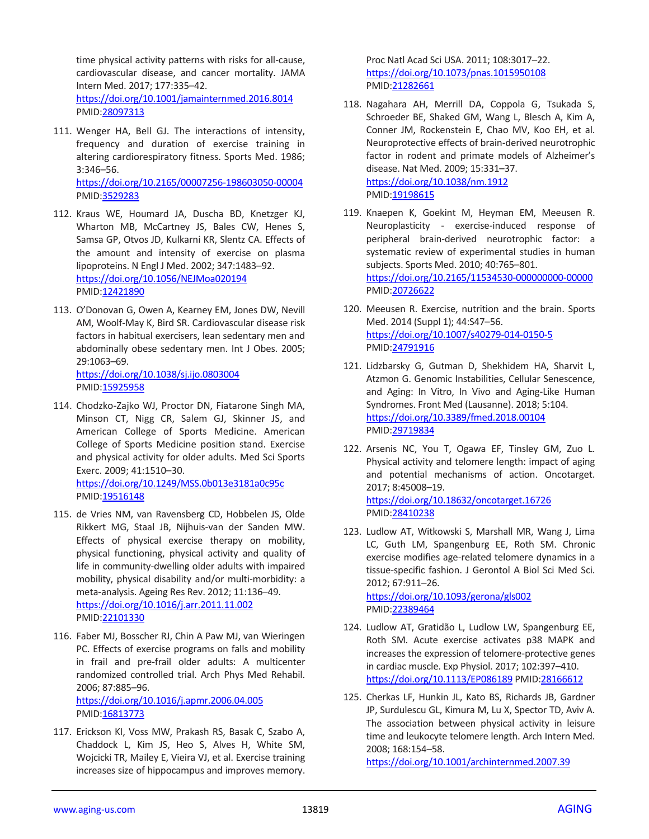time physical activity patterns with risks for all-cause, cardiovascular disease, and cancer mortality. JAMA Intern Med. 2017; 177:335–42. <https://doi.org/10.1001/jamainternmed.2016.8014> PMI[D:28097313](https://www.ncbi.nlm.nih.gov/pubmed/28097313)

111. Wenger HA, Bell GJ. The interactions of intensity, frequency and duration of exercise training in altering cardiorespiratory fitness. Sports Med. 1986; 3:346–56. <https://doi.org/10.2165/00007256-198603050-00004>

PMI[D:3529283](https://www.ncbi.nlm.nih.gov/pubmed/3529283)

- 112. Kraus WE, Houmard JA, Duscha BD, Knetzger KJ, Wharton MB, McCartney JS, Bales CW, Henes S, Samsa GP, Otvos JD, Kulkarni KR, Slentz CA. Effects of the amount and intensity of exercise on plasma lipoproteins. N Engl J Med. 2002; 347:1483–92. <https://doi.org/10.1056/NEJMoa020194> PMI[D:12421890](https://www.ncbi.nlm.nih.gov/pubmed/12421890)
- 113. O'Donovan G, Owen A, Kearney EM, Jones DW, Nevill AM, Woolf-May K, Bird SR. Cardiovascular disease risk factors in habitual exercisers, lean sedentary men and abdominally obese sedentary men. Int J Obes. 2005; 29:1063–69.

<https://doi.org/10.1038/sj.ijo.0803004> PMI[D:15925958](https://www.ncbi.nlm.nih.gov/pubmed/15925958)

114. Chodzko-Zajko WJ, Proctor DN, Fiatarone Singh MA, Minson CT, Nigg CR, Salem GJ, Skinner JS, and American College of Sports Medicine. American College of Sports Medicine position stand. Exercise and physical activity for older adults. Med Sci Sports Exerc. 2009; 41:1510–30. <https://doi.org/10.1249/MSS.0b013e3181a0c95c>

PMI[D:19516148](https://pubmed.ncbi.nlm.nih.gov/19516148)

- 115. de Vries NM, van Ravensberg CD, Hobbelen JS, Olde Rikkert MG, Staal JB, Nijhuis-van der Sanden MW. Effects of physical exercise therapy on mobility, physical functioning, physical activity and quality of life in community-dwelling older adults with impaired mobility, physical disability and/or multi-morbidity: a meta-analysis. Ageing Res Rev. 2012; 11:136–49. <https://doi.org/10.1016/j.arr.2011.11.002> PMI[D:22101330](https://www.ncbi.nlm.nih.gov/pubmed/22101330)
- 116. Faber MJ, Bosscher RJ, Chin A Paw MJ, van Wieringen PC. Effects of exercise programs on falls and mobility in frail and pre-frail older adults: A multicenter randomized controlled trial. Arch Phys Med Rehabil. 2006; 87:885–96. <https://doi.org/10.1016/j.apmr.2006.04.005> PMID: 16813773
- 117. Erickson KI, Voss MW, Prakash RS, Basak C, Szabo A, Chaddock L, Kim JS, Heo S, Alves H, White SM, Wojcicki TR, Mailey E, Vieira VJ, et al. Exercise training increases size of hippocampus and improves memory.

Proc Natl Acad Sci USA. 2011; 108:3017–22. <https://doi.org/10.1073/pnas.1015950108> PMID[:21282661](https://www.ncbi.nlm.nih.gov/pubmed/21282661)

- 118. Nagahara AH, Merrill DA, Coppola G, Tsukada S, Schroeder BE, Shaked GM, Wang L, Blesch A, Kim A, Conner JM, Rockenstein E, Chao MV, Koo EH, et al. Neuroprotective effects of brain-derived neurotrophic factor in rodent and primate models of Alzheimer's disease. Nat Med. 2009; 15:331–37. <https://doi.org/10.1038/nm.1912> PMID[:19198615](https://www.ncbi.nlm.nih.gov/pubmed/19198615)
- 119. Knaepen K, Goekint M, Heyman EM, Meeusen R. Neuroplasticity - exercise-induced response of peripheral brain-derived neurotrophic factor: a systematic review of experimental studies in human subjects. Sports Med. 2010; 40:765–801. <https://doi.org/10.2165/11534530-000000000-00000> PMID[:20726622](https://www.ncbi.nlm.nih.gov/pubmed/20726622)
- 120. Meeusen R. Exercise, nutrition and the brain. Sports Med. 2014 (Suppl 1); 44:S47–56. <https://doi.org/10.1007/s40279-014-0150-5> PMID[:24791916](https://www.ncbi.nlm.nih.gov/pubmed/24791916)
- 121. Lidzbarsky G, Gutman D, Shekhidem HA, Sharvit L, Atzmon G. Genomic Instabilities, Cellular Senescence, and Aging: In Vitro, In Vivo and Aging-Like Human Syndromes. Front Med (Lausanne). 2018; 5:104. <https://doi.org/10.3389/fmed.2018.00104> PMID[:29719834](https://pubmed.ncbi.nlm.nih.gov/29719834)
- 122. Arsenis NC, You T, Ogawa EF, Tinsley GM, Zuo L. Physical activity and telomere length: impact of aging and potential mechanisms of action. Oncotarget. 2017; 8:45008–19. <https://doi.org/10.18632/oncotarget.16726> PMID[:28410238](https://www.ncbi.nlm.nih.gov/pubmed/28410238)
- 123. Ludlow AT, Witkowski S, Marshall MR, Wang J, Lima LC, Guth LM, Spangenburg EE, Roth SM. Chronic exercise modifies age-related telomere dynamics in a tissue-specific fashion. J Gerontol A Biol Sci Med Sci. 2012; 67:911–26. <https://doi.org/10.1093/gerona/gls002> PMID[:22389464](https://www.ncbi.nlm.nih.gov/pubmed/22389464)
- 124. Ludlow AT, Gratidão L, Ludlow LW, Spangenburg EE, Roth SM. Acute exercise activates p38 MAPK and increases the expression of telomere-protective genes in cardiac muscle. Exp Physiol. 2017; 102:397–410. <https://doi.org/10.1113/EP086189> PMI[D:28166612](https://www.ncbi.nlm.nih.gov/pubmed/28166612)
- 125. Cherkas LF, Hunkin JL, Kato BS, Richards JB, Gardner JP, Surdulescu GL, Kimura M, Lu X, Spector TD, Aviv A. The association between physical activity in leisure time and leukocyte telomere length. Arch Intern Med. 2008; 168:154–58. <https://doi.org/10.1001/archinternmed.2007.39>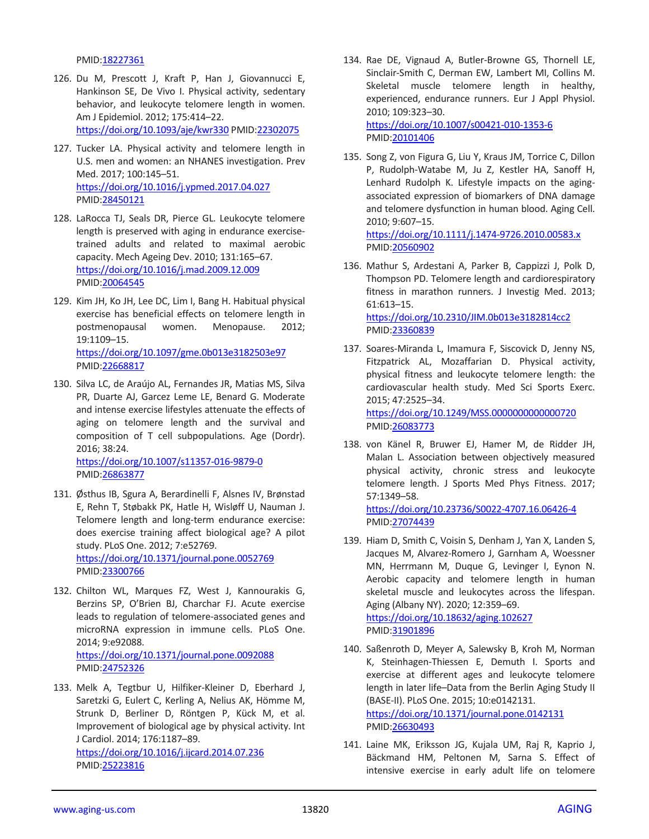PMI[D:18227361](https://www.ncbi.nlm.nih.gov/pubmed/18227361)

- 126. Du M, Prescott J, Kraft P, Han J, Giovannucci E, Hankinson SE, De Vivo I. Physical activity, sedentary behavior, and leukocyte telomere length in women. Am J Epidemiol. 2012; 175:414–22. <https://doi.org/10.1093/aje/kwr330> PMI[D:22302075](https://www.ncbi.nlm.nih.gov/pubmed/22302075)
- 127. Tucker LA. Physical activity and telomere length in U.S. men and women: an NHANES investigation. Prev Med. 2017; 100:145–51. <https://doi.org/10.1016/j.ypmed.2017.04.027> PMI[D:28450121](https://www.ncbi.nlm.nih.gov/pubmed/28450121)
- 128. LaRocca TJ, Seals DR, Pierce GL. Leukocyte telomere length is preserved with aging in endurance exercisetrained adults and related to maximal aerobic capacity. Mech Ageing Dev. 2010; 131:165–67. <https://doi.org/10.1016/j.mad.2009.12.009> PMI[D:20064545](https://www.ncbi.nlm.nih.gov/pubmed/20064545)
- 129. Kim JH, Ko JH, Lee DC, Lim I, Bang H. Habitual physical exercise has beneficial effects on telomere length in postmenopausal women. Menopause. 2012; 19:1109–15. <https://doi.org/10.1097/gme.0b013e3182503e97> PMI[D:22668817](https://www.ncbi.nlm.nih.gov/pubmed/22668817)
- 130. Silva LC, de Araújo AL, Fernandes JR, Matias MS, Silva PR, Duarte AJ, Garcez Leme LE, Benard G. Moderate and intense exercise lifestyles attenuate the effects of aging on telomere length and the survival and composition of T cell subpopulations. Age (Dordr). 2016; 38:24.

<https://doi.org/10.1007/s11357-016-9879-0> PMI[D:26863877](https://www.ncbi.nlm.nih.gov/pubmed/26863877)

- 131. Østhus IB, Sgura A, Berardinelli F, Alsnes IV, Brønstad E, Rehn T, Støbakk PK, Hatle H, Wisløff U, Nauman J. Telomere length and long-term endurance exercise: does exercise training affect biological age? A pilot study. PLoS One. 2012; 7:e52769. <https://doi.org/10.1371/journal.pone.0052769> PMI[D:23300766](https://www.ncbi.nlm.nih.gov/pubmed/23300766)
- 132. Chilton WL, Marques FZ, West J, Kannourakis G, Berzins SP, O'Brien BJ, Charchar FJ. Acute exercise leads to regulation of telomere-associated genes and microRNA expression in immune cells. PLoS One. 2014; 9:e92088.

<https://doi.org/10.1371/journal.pone.0092088> PMI[D:24752326](https://www.ncbi.nlm.nih.gov/pubmed/24752326)

133. Melk A, Tegtbur U, Hilfiker-Kleiner D, Eberhard J, Saretzki G, Eulert C, Kerling A, Nelius AK, Hömme M, Strunk D, Berliner D, Röntgen P, Kück M, et al. Improvement of biological age by physical activity. Int J Cardiol. 2014; 176:1187–89. <https://doi.org/10.1016/j.ijcard.2014.07.236> PMI[D:25223816](https://www.ncbi.nlm.nih.gov/pubmed/25223816)

- 134. Rae DE, Vignaud A, Butler-Browne GS, Thornell LE, Sinclair-Smith C, Derman EW, Lambert MI, Collins M. Skeletal muscle telomere length in healthy, experienced, endurance runners. Eur J Appl Physiol. 2010; 109:323–30. <https://doi.org/10.1007/s00421-010-1353-6> PMID[:20101406](https://www.ncbi.nlm.nih.gov/pubmed/20101406)
- 135. Song Z, von Figura G, Liu Y, Kraus JM, Torrice C, Dillon P, Rudolph-Watabe M, Ju Z, Kestler HA, Sanoff H, Lenhard Rudolph K. Lifestyle impacts on the agingassociated expression of biomarkers of DNA damage and telomere dysfunction in human blood. Aging Cell. 2010; 9:607–15.

<https://doi.org/10.1111/j.1474-9726.2010.00583.x> PMID[:20560902](https://www.ncbi.nlm.nih.gov/pubmed/20560902)

- 136. Mathur S, Ardestani A, Parker B, Cappizzi J, Polk D, Thompson PD. Telomere length and cardiorespiratory fitness in marathon runners. J Investig Med. 2013; 61:613–15. <https://doi.org/10.2310/JIM.0b013e3182814cc2> PMID[:23360839](https://www.ncbi.nlm.nih.gov/pubmed/23360839)
- 137. Soares-Miranda L, Imamura F, Siscovick D, Jenny NS, Fitzpatrick AL, Mozaffarian D. Physical activity, physical fitness and leukocyte telomere length: the cardiovascular health study. Med Sci Sports Exerc. 2015; 47:2525–34. <https://doi.org/10.1249/MSS.0000000000000720> PMID[:26083773](https://www.ncbi.nlm.nih.gov/pubmed/26083773)
- 138. von Känel R, Bruwer EJ, Hamer M, de Ridder JH, Malan L. Association between objectively measured physical activity, chronic stress and leukocyte telomere length. J Sports Med Phys Fitness. 2017; 57:1349–58. <https://doi.org/10.23736/S0022-4707.16.06426-4> PMID[:27074439](https://pubmed.ncbi.nlm.nih.gov/27074439)
- 139. Hiam D, Smith C, Voisin S, Denham J, Yan X, Landen S, Jacques M, Alvarez-Romero J, Garnham A, Woessner MN, Herrmann M, Duque G, Levinger I, Eynon N. Aerobic capacity and telomere length in human skeletal muscle and leukocytes across the lifespan. Aging (Albany NY). 2020; 12:359–69. <https://doi.org/10.18632/aging.102627> PMID[:31901896](https://www.ncbi.nlm.nih.gov/pubmed/31901896)
- 140. Saßenroth D, Meyer A, Salewsky B, Kroh M, Norman K, Steinhagen-Thiessen E, Demuth I. Sports and exercise at different ages and leukocyte telomere length in later life–Data from the Berlin Aging Study II (BASE-II). PLoS One. 2015; 10:e0142131. <https://doi.org/10.1371/journal.pone.0142131> PMID[:26630493](https://www.ncbi.nlm.nih.gov/pubmed/26630493)
- 141. Laine MK, Eriksson JG, Kujala UM, Raj R, Kaprio J, Bäckmand HM, Peltonen M, Sarna S. Effect of intensive exercise in early adult life on telomere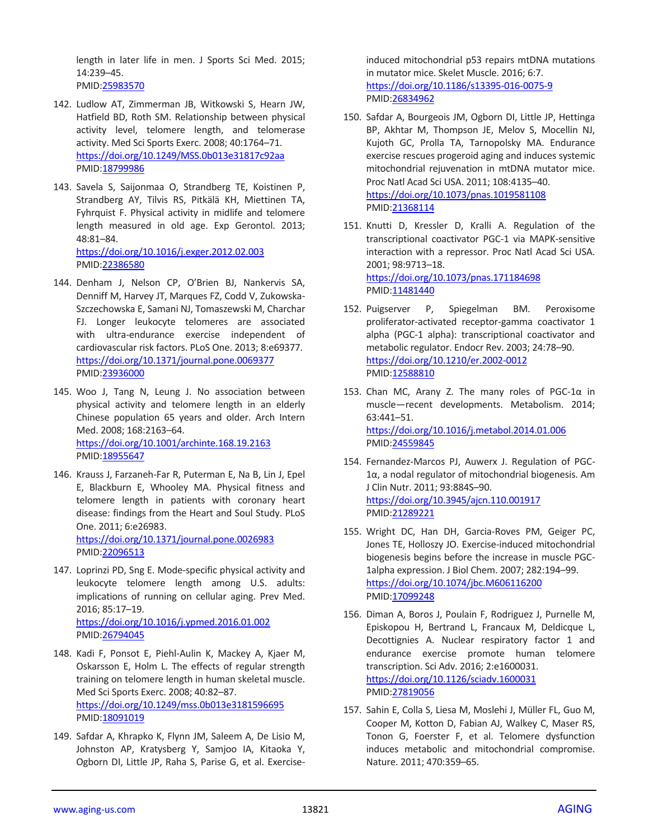length in later life in men. J Sports Sci Med. 2015; 14:239–45. PMI[D:25983570](https://www.ncbi.nlm.nih.gov/pubmed/25983570)

- 142. Ludlow AT, Zimmerman JB, Witkowski S, Hearn JW, Hatfield BD, Roth SM. Relationship between physical activity level, telomere length, and telomerase activity. Med Sci Sports Exerc. 2008; 40:1764–71. <https://doi.org/10.1249/MSS.0b013e31817c92aa> PMI[D:18799986](https://www.ncbi.nlm.nih.gov/pubmed/18799986)
- 143. Savela S, Saijonmaa O, Strandberg TE, Koistinen P, Strandberg AY, Tilvis RS, Pitkälä KH, Miettinen TA, Fyhrquist F. Physical activity in midlife and telomere length measured in old age. Exp Gerontol. 2013; 48:81–84. <https://doi.org/10.1016/j.exger.2012.02.003>

PMI[D:22386580](https://www.ncbi.nlm.nih.gov/pubmed/22386580)

- 144. Denham J, Nelson CP, O'Brien BJ, Nankervis SA, Denniff M, Harvey JT, Marques FZ, Codd V, Zukowska-Szczechowska E, Samani NJ, Tomaszewski M, Charchar FJ. Longer leukocyte telomeres are associated with ultra-endurance exercise independent of cardiovascular risk factors. PLoS One. 2013; 8:e69377. <https://doi.org/10.1371/journal.pone.0069377> PMI[D:23936000](https://www.ncbi.nlm.nih.gov/pubmed/23936000)
- 145. Woo J, Tang N, Leung J. No association between physical activity and telomere length in an elderly Chinese population 65 years and older. Arch Intern Med. 2008; 168:2163–64. <https://doi.org/10.1001/archinte.168.19.2163> PMI[D:18955647](https://www.ncbi.nlm.nih.gov/pubmed/18955647)
- 146. Krauss J, Farzaneh-Far R, Puterman E, Na B, Lin J, Epel E, Blackburn E, Whooley MA. Physical fitness and telomere length in patients with coronary heart disease: findings from the Heart and Soul Study. PLoS One. 2011; 6:e26983. <https://doi.org/10.1371/journal.pone.0026983> PMI[D:22096513](https://www.ncbi.nlm.nih.gov/pubmed/22096513)
- 147. Loprinzi PD, Sng E. Mode-specific physical activity and leukocyte telomere length among U.S. adults: implications of running on cellular aging. Prev Med. 2016; 85:17–19. <https://doi.org/10.1016/j.ypmed.2016.01.002> PMI[D:26794045](https://www.ncbi.nlm.nih.gov/pubmed/26794045)
- 148. Kadi F, Ponsot E, Piehl-Aulin K, Mackey A, Kjaer M, Oskarsson E, Holm L. The effects of regular strength training on telomere length in human skeletal muscle. Med Sci Sports Exerc. 2008; 40:82–87. <https://doi.org/10.1249/mss.0b013e3181596695> PMI[D:18091019](https://www.ncbi.nlm.nih.gov/pubmed/18091019)
- 149. Safdar A, Khrapko K, Flynn JM, Saleem A, De Lisio M, Johnston AP, Kratysberg Y, Samjoo IA, Kitaoka Y, Ogborn DI, Little JP, Raha S, Parise G, et al. Exercise-

induced mitochondrial p53 repairs mtDNA mutations in mutator mice. Skelet Muscle. 2016; 6:7. <https://doi.org/10.1186/s13395-016-0075-9> PMID[:26834962](https://www.ncbi.nlm.nih.gov/pubmed/26834962)

- 150. Safdar A, Bourgeois JM, Ogborn DI, Little JP, Hettinga BP, Akhtar M, Thompson JE, Melov S, Mocellin NJ, Kujoth GC, Prolla TA, Tarnopolsky MA. Endurance exercise rescues progeroid aging and induces systemic mitochondrial rejuvenation in mtDNA mutator mice. Proc Natl Acad Sci USA. 2011; 108:4135–40. <https://doi.org/10.1073/pnas.1019581108> PMID[:21368114](https://www.ncbi.nlm.nih.gov/pubmed/21368114)
- 151. Knutti D, Kressler D, Kralli A. Regulation of the transcriptional coactivator PGC-1 via MAPK-sensitive interaction with a repressor. Proc Natl Acad Sci USA. 2001; 98:9713–18. <https://doi.org/10.1073/pnas.171184698>

PMID[:11481440](https://www.ncbi.nlm.nih.gov/pubmed/11481440)

- 152. Puigserver P, Spiegelman BM. Peroxisome proliferator-activated receptor-gamma coactivator 1 alpha (PGC-1 alpha): transcriptional coactivator and metabolic regulator. Endocr Rev. 2003; 24:78–90. <https://doi.org/10.1210/er.2002-0012> PMID: 12588810
- 153. Chan MC, Arany Z. The many roles of PGC-1 $\alpha$  in muscle—recent developments. Metabolism. 2014; 63:441–51. <https://doi.org/10.1016/j.metabol.2014.01.006> PMID[:24559845](https://www.ncbi.nlm.nih.gov/pubmed/24559845)
- 154. Fernandez-Marcos PJ, Auwerx J. Regulation of PGC-1α, a nodal regulator of mitochondrial biogenesis. Am J Clin Nutr. 2011; 93:884S–90. <https://doi.org/10.3945/ajcn.110.001917> PMID[:21289221](https://www.ncbi.nlm.nih.gov/pubmed/21289221)
- 155. Wright DC, Han DH, Garcia-Roves PM, Geiger PC, Jones TE, Holloszy JO. Exercise-induced mitochondrial biogenesis begins before the increase in muscle PGC-1alpha expression. J Biol Chem. 2007; 282:194–99. <https://doi.org/10.1074/jbc.M606116200> PMID[:17099248](https://www.ncbi.nlm.nih.gov/pubmed/17099248)
- 156. Diman A, Boros J, Poulain F, Rodriguez J, Purnelle M, Episkopou H, Bertrand L, Francaux M, Deldicque L, Decottignies A. Nuclear respiratory factor 1 and endurance exercise promote human telomere transcription. Sci Adv. 2016; 2:e1600031. <https://doi.org/10.1126/sciadv.1600031> PMID[:27819056](https://www.ncbi.nlm.nih.gov/pubmed/27819056)
- 157. Sahin E, Colla S, Liesa M, Moslehi J, Müller FL, Guo M, Cooper M, Kotton D, Fabian AJ, Walkey C, Maser RS, Tonon G, Foerster F, et al. Telomere dysfunction induces metabolic and mitochondrial compromise. Nature. 2011; 470:359–65.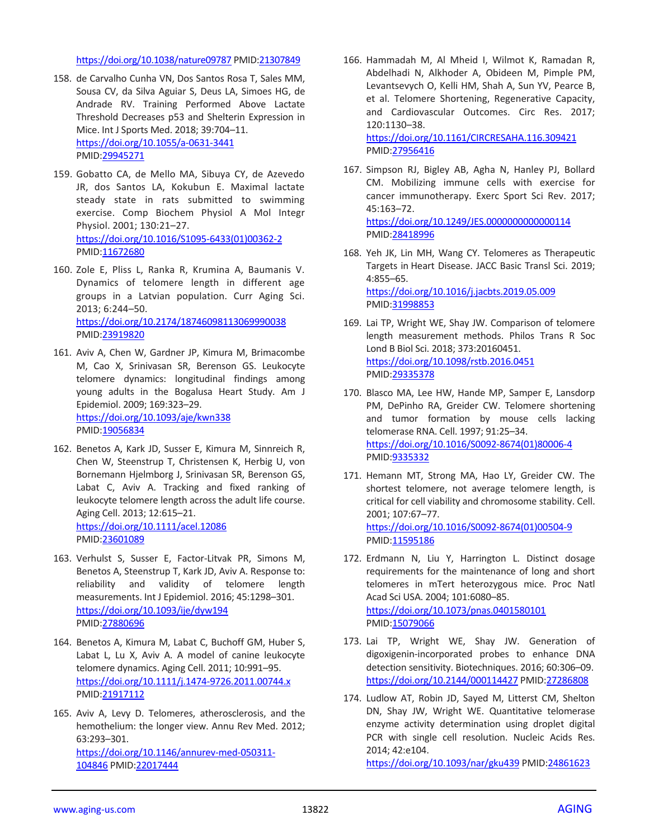<https://doi.org/10.1038/nature09787> PMI[D:21307849](https://www.ncbi.nlm.nih.gov/pubmed/21307849)

- 158. de Carvalho Cunha VN, Dos Santos Rosa T, Sales MM, Sousa CV, da Silva Aguiar S, Deus LA, Simoes HG, de Andrade RV. Training Performed Above Lactate Threshold Decreases p53 and Shelterin Expression in Mice. Int J Sports Med. 2018; 39:704–11. <https://doi.org/10.1055/a-0631-3441> PMI[D:29945271](https://www.ncbi.nlm.nih.gov/pubmed/29945271)
- 159. Gobatto CA, de Mello MA, Sibuya CY, de Azevedo JR, dos Santos LA, Kokubun E. Maximal lactate steady state in rats submitted to swimming exercise. Comp Biochem Physiol A Mol Integr Physiol. 2001; 130:21–27. [https://doi.org/10.1016/S1095-6433\(01\)00362-2](https://doi.org/10.1016/S1095-6433%2801%2900362-2) PMI[D:11672680](https://www.ncbi.nlm.nih.gov/pubmed/11672680)
- 160. Zole E, Pliss L, Ranka R, Krumina A, Baumanis V. Dynamics of telomere length in different age groups in a Latvian population. Curr Aging Sci. 2013; 6:244–50. <https://doi.org/10.2174/18746098113069990038> PMI[D:23919820](https://www.ncbi.nlm.nih.gov/pubmed/23919820)
- 161. Aviv A, Chen W, Gardner JP, Kimura M, Brimacombe M, Cao X, Srinivasan SR, Berenson GS. Leukocyte telomere dynamics: longitudinal findings among young adults in the Bogalusa Heart Study. Am J Epidemiol. 2009; 169:323–29. <https://doi.org/10.1093/aje/kwn338> PMI[D:19056834](https://www.ncbi.nlm.nih.gov/pubmed/19056834)
- 162. Benetos A, Kark JD, Susser E, Kimura M, Sinnreich R, Chen W, Steenstrup T, Christensen K, Herbig U, von Bornemann Hjelmborg J, Srinivasan SR, Berenson GS, Labat C, Aviv A. Tracking and fixed ranking of leukocyte telomere length across the adult life course. Aging Cell. 2013; 12:615–21. <https://doi.org/10.1111/acel.12086> PMI[D:23601089](https://www.ncbi.nlm.nih.gov/pubmed/23601089)
- 163. Verhulst S, Susser E, Factor-Litvak PR, Simons M, Benetos A, Steenstrup T, Kark JD, Aviv A. Response to: reliability and validity of telomere length measurements. Int J Epidemiol. 2016; 45:1298–301. <https://doi.org/10.1093/ije/dyw194> PMI[D:27880696](https://www.ncbi.nlm.nih.gov/pubmed/27880696)
- 164. Benetos A, Kimura M, Labat C, Buchoff GM, Huber S, Labat L, Lu X, Aviv A. A model of canine leukocyte telomere dynamics. Aging Cell. 2011; 10:991–95. <https://doi.org/10.1111/j.1474-9726.2011.00744.x> PMI[D:21917112](https://www.ncbi.nlm.nih.gov/pubmed/21917112)
- 165. Aviv A, Levy D. Telomeres, atherosclerosis, and the hemothelium: the longer view. Annu Rev Med. 2012; 63:293–301. [https://doi.org/10.1146/annurev-med-050311-](https://doi.org/10.1146/annurev-med-050311-104846) [104846](https://doi.org/10.1146/annurev-med-050311-104846) PMI[D:22017444](https://www.ncbi.nlm.nih.gov/pubmed/22017444)

166. Hammadah M, Al Mheid I, Wilmot K, Ramadan R, Abdelhadi N, Alkhoder A, Obideen M, Pimple PM, Levantsevych O, Kelli HM, Shah A, Sun YV, Pearce B, et al. Telomere Shortening, Regenerative Capacity, and Cardiovascular Outcomes. Circ Res. 2017; 120:1130–38. <https://doi.org/10.1161/CIRCRESAHA.116.309421>

PMID[:27956416](https://www.ncbi.nlm.nih.gov/pubmed/27956416)

- 167. Simpson RJ, Bigley AB, Agha N, Hanley PJ, Bollard CM. Mobilizing immune cells with exercise for cancer immunotherapy. Exerc Sport Sci Rev. 2017; 45:163–72. <https://doi.org/10.1249/JES.0000000000000114> PMID[:28418996](https://www.ncbi.nlm.nih.gov/pubmed/28418996)
- 168. Yeh JK, Lin MH, Wang CY. Telomeres as Therapeutic Targets in Heart Disease. JACC Basic Transl Sci. 2019; 4:855–65. <https://doi.org/10.1016/j.jacbts.2019.05.009> PMID[:31998853](https://www.ncbi.nlm.nih.gov/pubmed/31998853)
- 169. Lai TP, Wright WE, Shay JW. Comparison of telomere length measurement methods. Philos Trans R Soc Lond B Biol Sci. 2018; 373:20160451. <https://doi.org/10.1098/rstb.2016.0451> PMID[:29335378](https://www.ncbi.nlm.nih.gov/pubmed/29335378)
- 170. Blasco MA, Lee HW, Hande MP, Samper E, Lansdorp PM, DePinho RA, Greider CW. Telomere shortening and tumor formation by mouse cells lacking telomerase RNA. Cell. 1997; 91:25–34. [https://doi.org/10.1016/S0092-8674\(01\)80006-4](https://doi.org/10.1016/S0092-8674%2801%2980006-4) PMID[:9335332](https://www.ncbi.nlm.nih.gov/pubmed/9335332)
- 171. Hemann MT, Strong MA, Hao LY, Greider CW. The shortest telomere, not average telomere length, is critical for cell viability and chromosome stability. Cell. 2001; 107:67–77. [https://doi.org/10.1016/S0092-8674\(01\)00504-9](https://doi.org/10.1016/S0092-8674%2801%2900504-9) PMID[:11595186](https://www.ncbi.nlm.nih.gov/pubmed/11595186)
- 172. Erdmann N, Liu Y, Harrington L. Distinct dosage requirements for the maintenance of long and short telomeres in mTert heterozygous mice. Proc Natl Acad Sci USA. 2004; 101:6080–85. <https://doi.org/10.1073/pnas.0401580101> PMID[:15079066](https://www.ncbi.nlm.nih.gov/pubmed/15079066)
- 173. Lai TP, Wright WE, Shay JW. Generation of digoxigenin-incorporated probes to enhance DNA detection sensitivity. Biotechniques. 2016; 60:306–09. <https://doi.org/10.2144/000114427> PMI[D:27286808](https://www.ncbi.nlm.nih.gov/pubmed/27286808)
- 174. Ludlow AT, Robin JD, Sayed M, Litterst CM, Shelton DN, Shay JW, Wright WE. Quantitative telomerase enzyme activity determination using droplet digital PCR with single cell resolution. Nucleic Acids Res. 2014; 42:e104. <https://doi.org/10.1093/nar/gku439> PMID[:24861623](https://www.ncbi.nlm.nih.gov/pubmed/24861623)